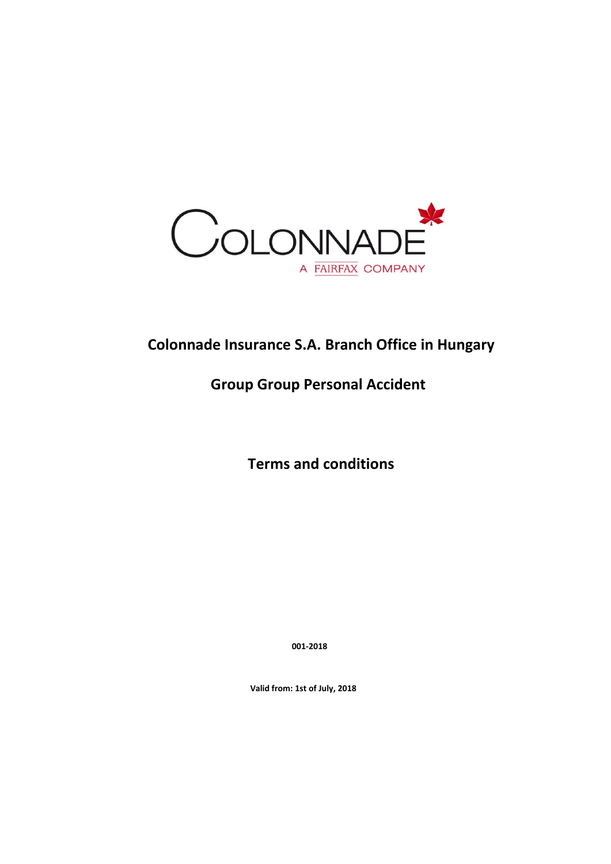

# **Colonnade Insurance S.A. Branch Office in Hungary**

# **Group Group Personal Accident**

 **Terms and conditions**

 **001-2018**

 **Valid from: 1st of July, 2018**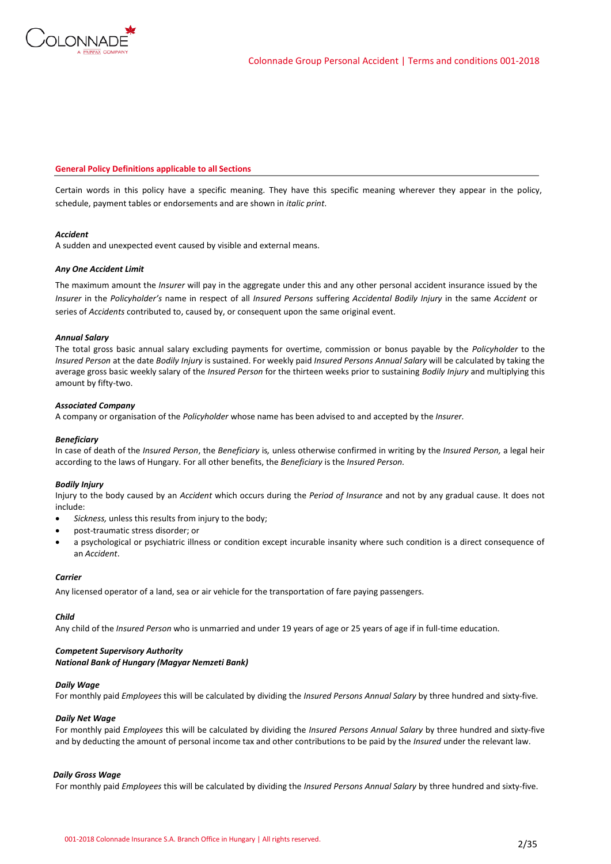

### **General Policy Definitions applicable to all Sections**

Certain words in this policy have a specific meaning. They have this specific meaning wherever they appear in the policy, schedule, payment tables or endorsements and are shown in *italic print*.

### *Accident*

A sudden and unexpected event caused by visible and external means.

### *Any One Accident Limit*

The maximum amount the *Insurer* will pay in the aggregate under this and any other personal accident insurance issued by the *Insurer* in the *Policyholder's* name in respect of all *Insured Persons* suffering *Accidental Bodily Injury* in the same *Accident* or series of *Accidents* contributed to, caused by, or consequent upon the same original event.

### *Annual Salary*

The total gross basic annual salary excluding payments for overtime, commission or bonus payable by the *Policyholder* to the *Insured Person* at the date *Bodily Injury* is sustained. For weekly paid *Insured Persons Annual Salary* will be calculated by taking the average gross basic weekly salary of the *Insured Person* for the thirteen weeks prior to sustaining *Bodily Injury* and multiplying this amount by fifty-two.

### *Associated Company*

A company or organisation of the *Policyholder* whose name has been advised to and accepted by the *Insurer.*

### *Beneficiary*

In case of death of the *Insured Person*, the *Beneficiary* is*,* unless otherwise confirmed in writing by the *Insured Person,* a legal heir according to the laws of Hungary. For all other benefits, the *Beneficiary* is the *Insured Person.*

### *Bodily Injury*

Injury to the body caused by an *Accident* which occurs during the *Period of Insurance* and not by any gradual cause. It does not include:

- *Sickness,* unless this results from injury to the body;
- post-traumatic stress disorder; or
- a psychological or psychiatric illness or condition except incurable insanity where such condition is a direct consequence of an *Accident*.

### *Carrier*

Any licensed operator of a land, sea or air vehicle for the transportation of fare paying passengers.

# *Child*

Any child of the *Insured Person* who is unmarried and under 19 years of age or 25 years of age if in full-time education.

# *Competent Supervisory Authority*

# *National Bank of Hungary (Magyar Nemzeti Bank)*

# *Daily Wage*

For monthly paid *Employees* this will be calculated by dividing the *Insured Persons Annual Salary* by three hundred and sixty-five.

# *Daily Net Wage*

For monthly paid *Employees* this will be calculated by dividing the *Insured Persons Annual Salary* by three hundred and sixty-five and by deducting the amount of personal income tax and other contributions to be paid by the *Insured* under the relevant law.

# *Daily Gross Wage*

For monthly paid *Employees* this will be calculated by dividing the *Insured Persons Annual Salary* by three hundred and sixty-five.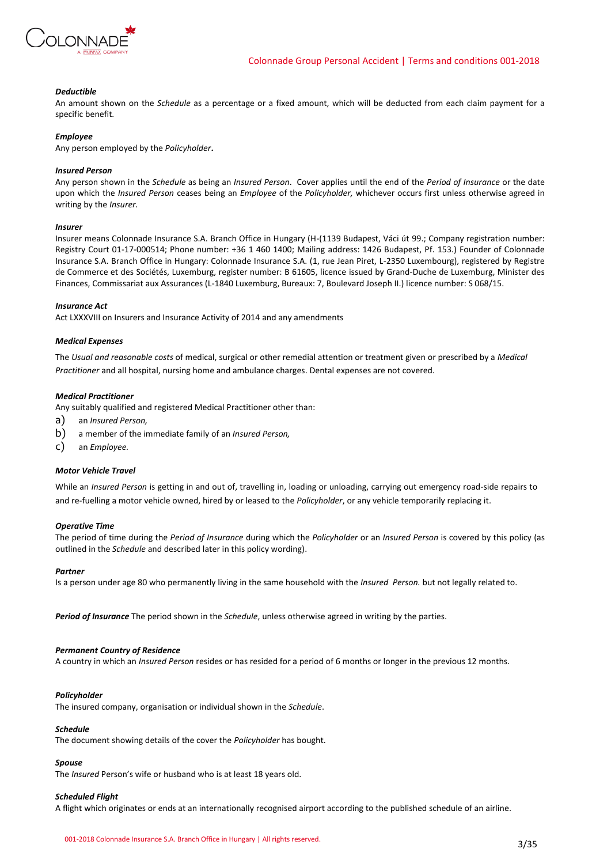

### *Deductible*

An amount shown on the *Schedule* as a percentage or a fixed amount, which will be deducted from each claim payment for a specific benefit*.*

### *Employee*

Any person employed by the *Policyholder***.**

### *Insured Person*

Any person shown in the *Schedule* as being an *Insured Person*. Cover applies until the end of the *Period of Insurance* or the date upon which the *Insured Person* ceases being an *Employee* of the *Policyholder,* whichever occurs first unless otherwise agreed in writing by the *Insurer.*

### *Insurer*

Insurer means Colonnade Insurance S.A. Branch Office in Hungary (H-(1139 Budapest, Váci út 99.; Company registration number: Registry Court 01-17-000514; Phone number: +36 1 460 1400; Mailing address: 1426 Budapest, Pf. 153.) Founder of Colonnade Insurance S.A. Branch Office in Hungary: Colonnade Insurance S.A. (1, rue Jean Piret, L-2350 Luxembourg), registered by Registre de Commerce et des Sociétés, Luxemburg, register number: B 61605, licence issued by Grand-Duche de Luxemburg, Minister des Finances, Commissariat aux Assurances (L-1840 Luxemburg, Bureaux: 7, Boulevard Joseph II.) licence number: S 068/15.

### *Insurance Act*

Act LXXXVIII on Insurers and Insurance Activity of 2014 and any amendments

### *Medical Expenses*

The *Usual and reasonable costs* of medical, surgical or other remedial attention or treatment given or prescribed by a *Medical Practitioner* and all hospital, nursing home and ambulance charges. Dental expenses are not covered.

### *Medical Practitioner*

Any suitably qualified and registered Medical Practitioner other than:

- a) an *Insured Person,*
- b) a member of the immediate family of an *Insured Person,*
- c) an *Employee.*

### *Motor Vehicle Travel*

While an *Insured Person* is getting in and out of, travelling in, loading or unloading, carrying out emergency road-side repairs to and re-fuelling a motor vehicle owned, hired by or leased to the *Policyholder*, or any vehicle temporarily replacing it.

#### *Operative Time*

The period of time during the *Period of Insurance* during which the *Policyholder* or an *Insured Person* is covered by this policy (as outlined in the *Schedule* and described later in this policy wording).

#### *Partner*

Is a person under age 80 who permanently living in the same household with the *Insured Person.* but not legally related to.

*Period of Insurance* The period shown in the *Schedule*, unless otherwise agreed in writing by the parties.

### *Permanent Country of Residence*

A country in which an *Insured Person* resides or has resided for a period of 6 months or longer in the previous 12 months.

### *Policyholder*

The insured company, organisation or individual shown in the *Schedule*.

### *Schedule*

The document showing details of the cover the *Policyholder* has bought.

### *Spouse*

The *Insured* Person's wife or husband who is at least 18 years old.

### *Scheduled Flight*

A flight which originates or ends at an internationally recognised airport according to the published schedule of an airline.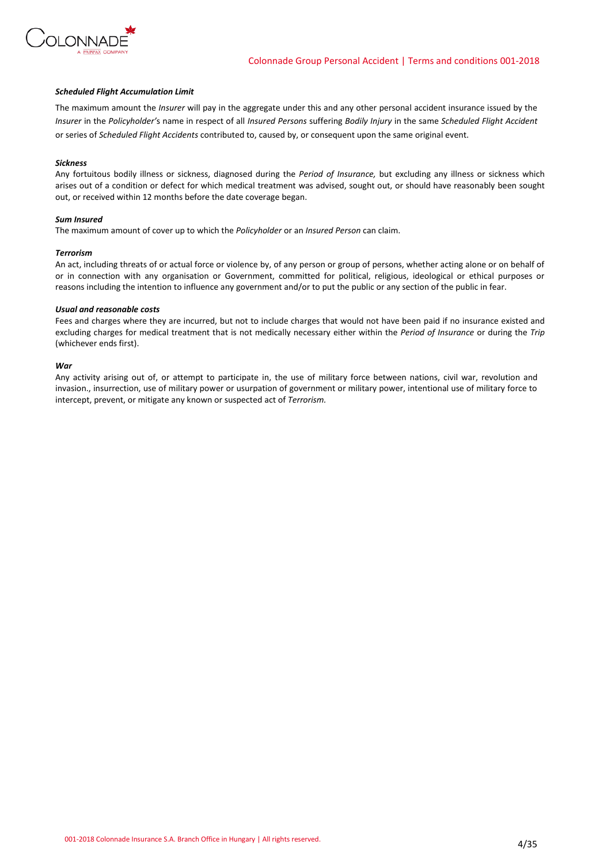

### *Scheduled Flight Accumulation Limit*

The maximum amount the *Insurer* will pay in the aggregate under this and any other personal accident insurance issued by the *Insurer* in the *Policyholder'*s name in respect of all *Insured Persons* suffering *Bodily Injury* in the same *Scheduled Flight Accident*  or series of *Scheduled Flight Accidents* contributed to, caused by, or consequent upon the same original event.

#### *Sickness*

Any fortuitous bodily illness or sickness, diagnosed during the *Period of Insurance,* but excluding any illness or sickness which arises out of a condition or defect for which medical treatment was advised, sought out, or should have reasonably been sought out, or received within 12 months before the date coverage began.

### *Sum Insured*

The maximum amount of cover up to which the *Policyholder* or an *Insured Person* can claim.

#### *Terrorism*

An act, including threats of or actual force or violence by, of any person or group of persons, whether acting alone or on behalf of or in connection with any organisation or Government, committed for political, religious, ideological or ethical purposes or reasons including the intention to influence any government and/or to put the public or any section of the public in fear.

### *Usual and reasonable costs*

Fees and charges where they are incurred, but not to include charges that would not have been paid if no insurance existed and excluding charges for medical treatment that is not medically necessary either within the *Period of Insurance* or during the *Trip*  (whichever ends first).

### *War*

Any activity arising out of, or attempt to participate in, the use of military force between nations, civil war, revolution and invasion., insurrection, use of military power or usurpation of government or military power, intentional use of military force to intercept, prevent, or mitigate any known or suspected act of *Terrorism.*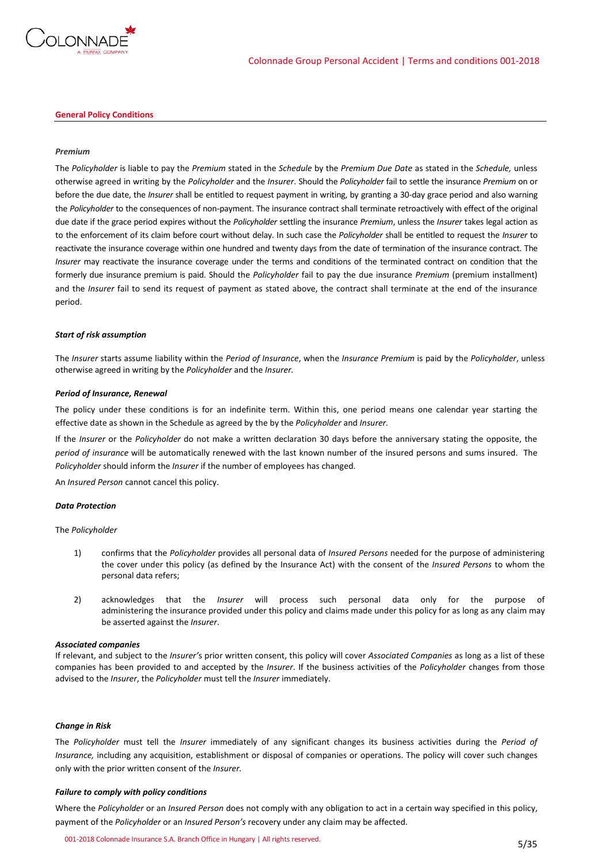

### **General Policy Conditions**

### *Premium*

The *Policyholder* is liable to pay the *Premium* stated in the *Schedule* by the *Premium Due Date* as stated in the *Schedule,* unless otherwise agreed in writing by the *Policyholder* and the *Insurer*. Should the *Policyholder* fail to settle the insurance *Premium* on or before the due date, the *Insurer* shall be entitled to request payment in writing, by granting a 30-day grace period and also warning the *Policyholder* to the consequences of non-payment. The insurance contract shall terminate retroactively with effect of the original due date if the grace period expires without the *Policyholder* settling the insurance *Premium*, unless the *Insurer* takes legal action as to the enforcement of its claim before court without delay. In such case the *Policyholder* shall be entitled to request the *Insurer* to reactivate the insurance coverage within one hundred and twenty days from the date of termination of the insurance contract. The *Insurer* may reactivate the insurance coverage under the terms and conditions of the terminated contract on condition that the formerly due insurance premium is paid. Should the *Policyholder* fail to pay the due insurance *Premium* (premium installment) and the *Insurer* fail to send its request of payment as stated above, the contract shall terminate at the end of the insurance period.

### *Start of risk assumption*

The *Insurer* starts assume liability within the *Period of Insurance*, when the *Insurance Premium* is paid by the *Policyholder*, unless otherwise agreed in writing by the *Policyholder* and the *Insurer.*

#### *Period of Insurance, Renewal*

The policy under these conditions is for an indefinite term. Within this, one period means one calendar year starting the effective date as shown in the Schedule as agreed by the by the *Policyholder* and *Insurer.*

If the *Insurer* or the *Policyholder* do not make a written declaration 30 days before the anniversary stating the opposite, the *period of insurance* will be automatically renewed with the last known number of the insured persons and sums insured. The *Policyholder* should inform the *Insurer* if the number of employees has changed.

An *Insured Person* cannot cancel this policy.

#### *Data Protection*

#### The *Policyholder*

- 1) confirms that the *Policyholder* provides all personal data of *Insured Persons* needed for the purpose of administering the cover under this policy (as defined by the Insurance Act) with the consent of the *Insured Persons* to whom the personal data refers;
- 2) acknowledges that the *Insurer* will process such personal data only for the purpose of administering the insurance provided under this policy and claims made under this policy for as long as any claim may be asserted against the *Insurer*.

#### *Associated companies*

If relevant, and subject to the *Insurer'*s prior written consent, this policy will cover *Associated Companies* as long as a list of these companies has been provided to and accepted by the *Insurer*. If the business activities of the *Policyholder* changes from those advised to the *Insurer*, the *Policyholder* must tell the *Insurer* immediately.

### *Change in Risk*

The *Policyholder* must tell the *Insurer* immediately of any significant changes its business activities during the *Period of Insurance,* including any acquisition, establishment or disposal of companies or operations. The policy will cover such changes only with the prior written consent of the *Insurer.*

#### *Failure to comply with policy conditions*

Where the *Policyholder* or an *Insured Person* does not comply with any obligation to act in a certain way specified in this policy, payment of the *Policyholder* or an *Insured Person's* recovery under any claim may be affected.

001-2018 Colonnade Insurance S.A. Branch Office in Hungary | All rights reserved. 5/35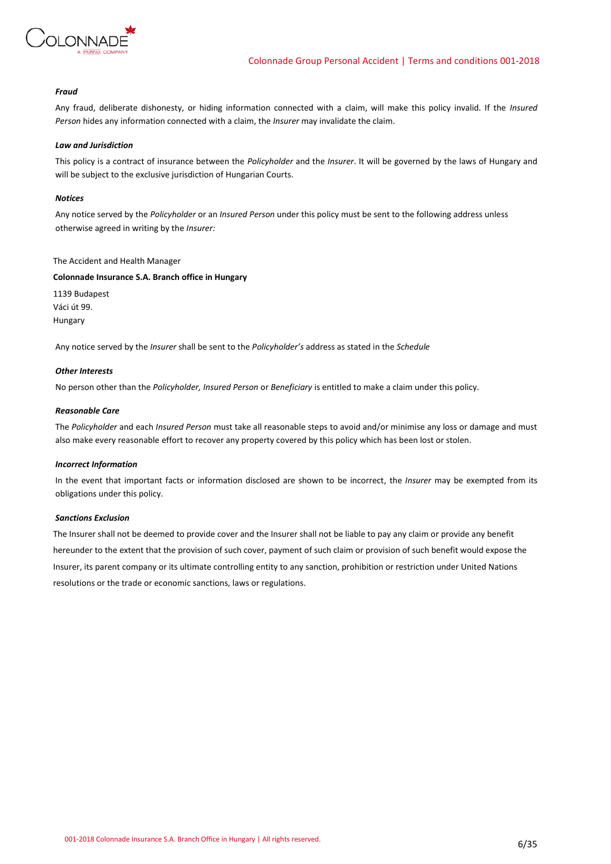

### *Fraud*

Any fraud, deliberate dishonesty, or hiding information connected with a claim, will make this policy invalid. If the *Insured Person* hides any information connected with a claim, the *Insurer* may invalidate the claim.

### *Law and Jurisdiction*

This policy is a contract of insurance between the *Policyholder* and the *Insurer*. It will be governed by the laws of Hungary and will be subject to the exclusive jurisdiction of Hungarian Courts.

### *Notices*

Any notice served by the *Policyholder* or an *Insured Person* under this policy must be sent to the following address unless otherwise agreed in writing by the *Insurer:*

### The Accident and Health Manager

### **Colonnade Insurance S.A. Branch office in Hungary**

1139 Budapest Váci út 99. Hungary

Any notice served by the *Insurer* shall be sent to the *Policyholder's* address as stated in the *Schedule*

### *Other Interests*

No person other than the *Policyholder, Insured Person* or *Beneficiary* is entitled to make a claim under this policy.

### *Reasonable Care*

The *Policyholder* and each *Insured Person* must take all reasonable steps to avoid and/or minimise any loss or damage and must also make every reasonable effort to recover any property covered by this policy which has been lost or stolen.

### *Incorrect Information*

In the event that important facts or information disclosed are shown to be incorrect, the *Insurer* may be exempted from its obligations under this policy.

### *Sanctions Exclusion*

The Insurer shall not be deemed to provide cover and the Insurer shall not be liable to pay any claim or provide any benefit hereunder to the extent that the provision of such cover, payment of such claim or provision of such benefit would expose the Insurer, its parent company or its ultimate controlling entity to any sanction, prohibition or restriction under United Nations resolutions or the trade or economic sanctions, laws or regulations.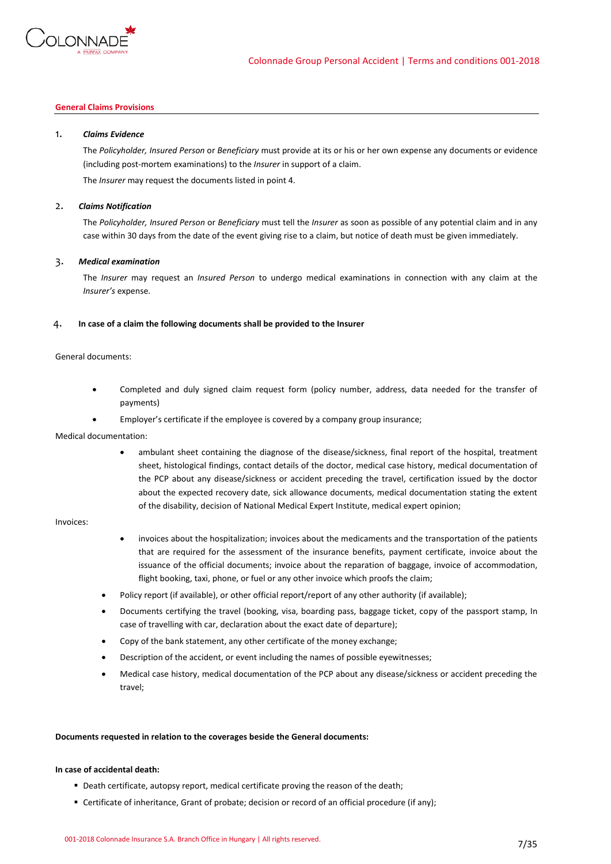

# **General Claims Provisions**

### 1. *Claims Evidence*

The *Policyholder, Insured Person* or *Beneficiary* must provide at its or his or her own expense any documents or evidence (including post-mortem examinations) to the *Insurer* in support of a claim.

The *Insurer* may request the documents listed in point 4.

### 2. *Claims Notification*

The *Policyholder, Insured Person* or *Beneficiary* must tell the *Insurer* as soon as possible of any potential claim and in any case within 30 days from the date of the event giving rise to a claim, but notice of death must be given immediately.

### 3. *Medical examination*

The *Insurer* may request an *Insured Person* to undergo medical examinations in connection with any claim at the *Insurer's* expense.

### 4. **In case of a claim the following documents shall be provided to the Insurer**

### General documents:

- Completed and duly signed claim request form (policy number, address, data needed for the transfer of payments)
- Employer's certificate if the employee is covered by a company group insurance;

### Medical documentation:

• ambulant sheet containing the diagnose of the disease/sickness, final report of the hospital, treatment sheet, histological findings, contact details of the doctor, medical case history, medical documentation of the PCP about any disease/sickness or accident preceding the travel, certification issued by the doctor about the expected recovery date, sick allowance documents, medical documentation stating the extent of the disability, decision of National Medical Expert Institute, medical expert opinion;

### Invoices:

- invoices about the hospitalization; invoices about the medicaments and the transportation of the patients that are required for the assessment of the insurance benefits, payment certificate, invoice about the issuance of the official documents; invoice about the reparation of baggage, invoice of accommodation, flight booking, taxi, phone, or fuel or any other invoice which proofs the claim;
- Policy report (if available), or other official report/report of any other authority (if available);
- Documents certifying the travel (booking, visa, boarding pass, baggage ticket, copy of the passport stamp, In case of travelling with car, declaration about the exact date of departure);
- Copy of the bank statement, any other certificate of the money exchange;
- Description of the accident, or event including the names of possible eyewitnesses;
- Medical case history, medical documentation of the PCP about any disease/sickness or accident preceding the travel;

#### **Documents requested in relation to the coverages beside the General documents:**

### **In case of accidental death:**

- Death certificate, autopsy report, medical certificate proving the reason of the death;
- Certificate of inheritance, Grant of probate; decision or record of an official procedure (if any);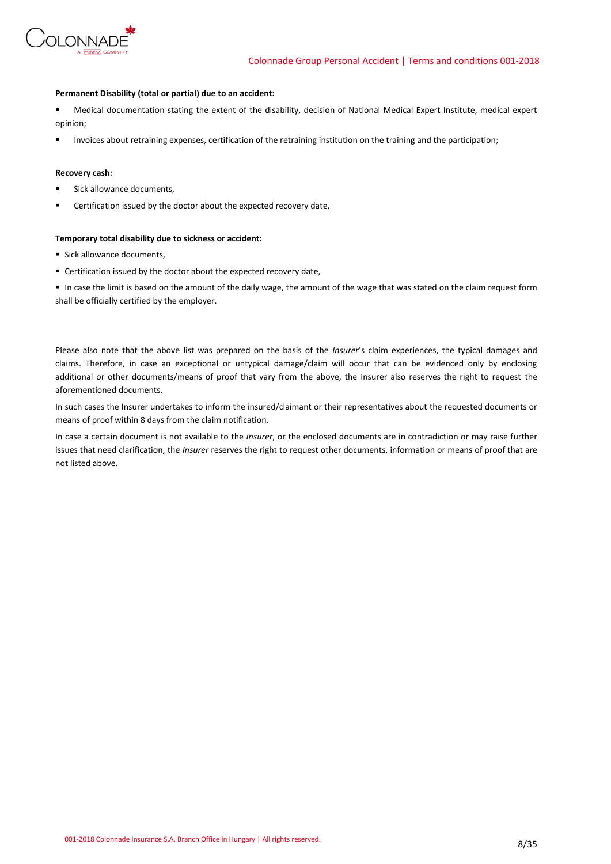

### **Permanent Disability (total or partial) due to an accident:**

Medical documentation stating the extent of the disability, decision of National Medical Expert Institute, medical expert opinion;

Invoices about retraining expenses, certification of the retraining institution on the training and the participation;

### **Recovery cash:**

- Sick allowance documents,
- Certification issued by the doctor about the expected recovery date,

### **Temporary total disability due to sickness or accident:**

- Sick allowance documents,
- Certification issued by the doctor about the expected recovery date,

▪ In case the limit is based on the amount of the daily wage, the amount of the wage that was stated on the claim request form shall be officially certified by the employer.

Please also note that the above list was prepared on the basis of the *Insurer*'s claim experiences, the typical damages and claims. Therefore, in case an exceptional or untypical damage/claim will occur that can be evidenced only by enclosing additional or other documents/means of proof that vary from the above, the Insurer also reserves the right to request the aforementioned documents.

In such cases the Insurer undertakes to inform the insured/claimant or their representatives about the requested documents or means of proof within 8 days from the claim notification.

In case a certain document is not available to the *Insurer*, or the enclosed documents are in contradiction or may raise further issues that need clarification, the *Insurer* reserves the right to request other documents, information or means of proof that are not listed above.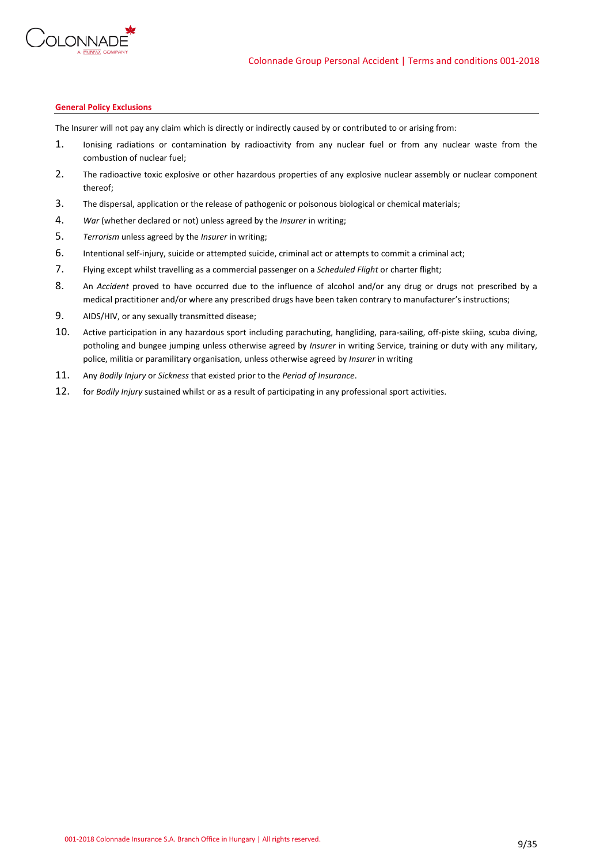

### **General Policy Exclusions**

The Insurer will not pay any claim which is directly or indirectly caused by or contributed to or arising from:

- 1. Ionising radiations or contamination by radioactivity from any nuclear fuel or from any nuclear waste from the combustion of nuclear fuel;
- 2. The radioactive toxic explosive or other hazardous properties of any explosive nuclear assembly or nuclear component thereof;
- 3. The dispersal, application or the release of pathogenic or poisonous biological or chemical materials;
- 4. *War* (whether declared or not) unless agreed by the *Insurer* in writing;
- 5. *Terrorism* unless agreed by the *Insurer* in writing;
- 6. Intentional self-injury, suicide or attempted suicide, criminal act or attempts to commit a criminal act;
- 7. Flying except whilst travelling as a commercial passenger on a *Scheduled Flight* or charter flight;
- 8. An *Accident* proved to have occurred due to the influence of alcohol and/or any drug or drugs not prescribed by a medical practitioner and/or where any prescribed drugs have been taken contrary to manufacturer's instructions;
- 9. AIDS/HIV, or any sexually transmitted disease;
- 10. Active participation in any hazardous sport including parachuting, hangliding, para-sailing, off-piste skiing, scuba diving, potholing and bungee jumping unless otherwise agreed by *Insurer* in writing Service, training or duty with any military, police, militia or paramilitary organisation, unless otherwise agreed by *Insurer* in writing
- 11. Any *Bodily Injury* or *Sickness* that existed prior to the *Period of Insurance*.
- 12. for *Bodily Injury* sustained whilst or as a result of participating in any professional sport activities.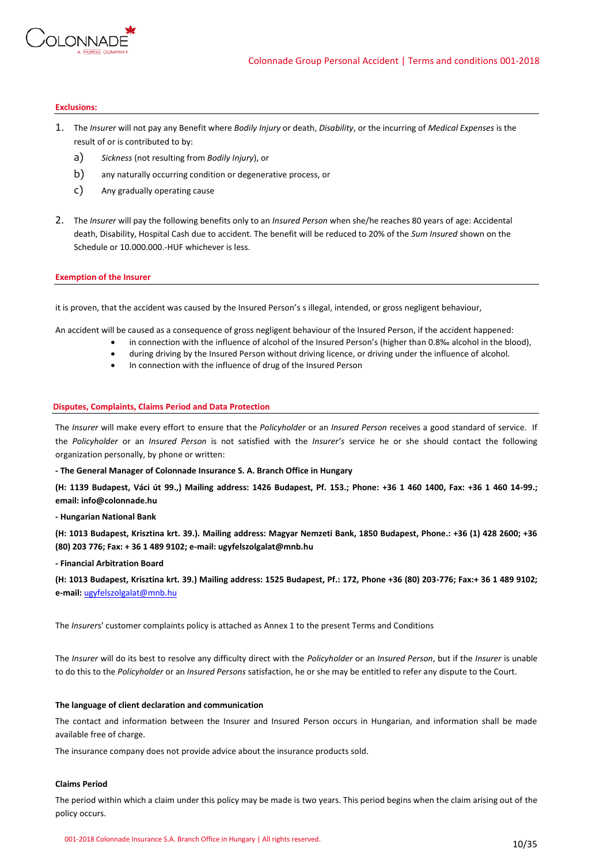

### **Exclusions:**

- 1. The *Insurer* will not pay any Benefit where *Bodily Injury* or death, *Disability*, or the incurring of *Medical Expenses* is the result of or is contributed to by:
	- a) *Sickness* (not resulting from *Bodily Injury*), or
	- b) any naturally occurring condition or degenerative process, or
	- c) Any gradually operating cause
- 2. The *Insurer* will pay the following benefits only to an *Insured Person* when she/he reaches 80 years of age: Accidental death, Disability, Hospital Cash due to accident. The benefit will be reduced to 20% of the *Sum Insured* shown on the Schedule or 10.000.000.-HUF whichever is less.

### **Exemption of the Insurer**

it is proven, that the accident was caused by the Insured Person's s illegal, intended, or gross negligent behaviour,

An accident will be caused as a consequence of gross negligent behaviour of the Insured Person, if the accident happened:

- in connection with the influence of alcohol of the Insured Person's (higher than 0.8‰ alcohol in the blood),
- during driving by the Insured Person without driving licence, or driving under the influence of alcohol.
- In connection with the influence of drug of the Insured Person

### **Disputes, Complaints, Claims Period and Data Protection**

The *Insurer* will make every effort to ensure that the *Policyholder* or an *Insured Person* receives a good standard of service. If the *Policyholder* or an *Insured Person* is not satisfied with the *Insurer's* service he or she should contact the following organization personally, by phone or written:

**- The General Manager of Colonnade Insurance S. A. Branch Office in Hungary** 

**(H: 1139 Budapest, Váci út 99.,) Mailing address: 1426 Budapest, Pf. 153.; Phone: +36 1 460 1400, Fax: +36 1 460 14-99.; email: info@colonnade.hu**

**- Hungarian National Bank** 

**(H: 1013 Budapest, Krisztina krt. 39.). Mailing address: Magyar Nemzeti Bank, 1850 Budapest, Phone.: +36 (1) 428 2600; +36 (80) 203 776; Fax: + 36 1 489 9102; e-mail: ugyfelszolgalat@mnb.hu**

**- Financial Arbitration Board** 

**(H: 1013 Budapest, Krisztina krt. 39.) Mailing address: 1525 Budapest, Pf.: 172, Phone +36 (80) 203-776; Fax:+ 36 1 489 9102; e-mail:** [ugyfelszolgalat@mnb.hu](mailto:ugyfelszolgalat@mnb.hu)

The *Insurer*s' customer complaints policy is attached as Annex 1 to the present Terms and Conditions

The *Insurer* will do its best to resolve any difficulty direct with the *Policyholder* or an *Insured Person*, but if the *Insurer* is unable to do this to the *Policyholder* or an *Insured Persons* satisfaction, he or she may be entitled to refer any dispute to the Court.

#### **The language of client declaration and communication**

The contact and information between the Insurer and Insured Person occurs in Hungarian, and information shall be made available free of charge.

The insurance company does not provide advice about the insurance products sold.

# **Claims Period**

The period within which a claim under this policy may be made is two years. This period begins when the claim arising out of the policy occurs.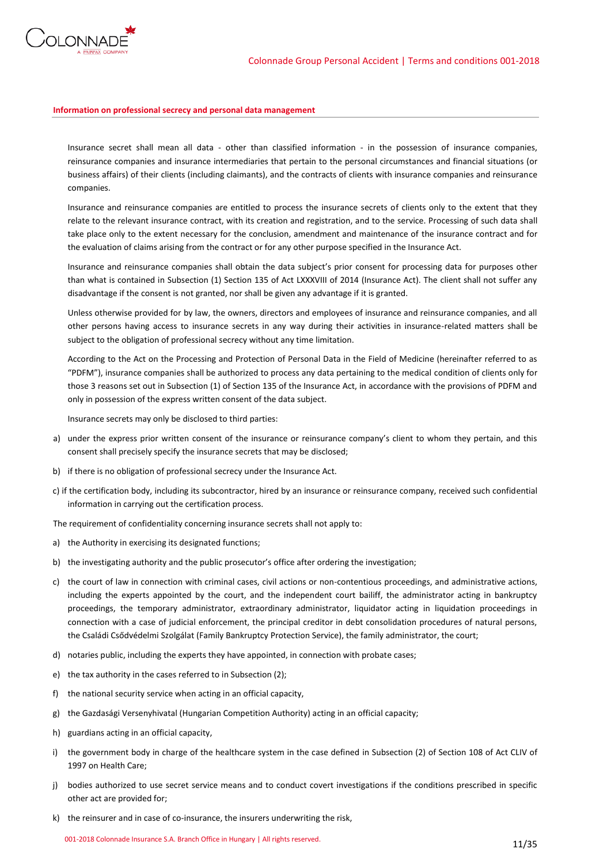

### **Information on professional secrecy and personal data management**

Insurance secret shall mean all data - other than classified information - in the possession of insurance companies, reinsurance companies and insurance intermediaries that pertain to the personal circumstances and financial situations (or business affairs) of their clients (including claimants), and the contracts of clients with insurance companies and reinsurance companies.

Insurance and reinsurance companies are entitled to process the insurance secrets of clients only to the extent that they relate to the relevant insurance contract, with its creation and registration, and to the service. Processing of such data shall take place only to the extent necessary for the conclusion, amendment and maintenance of the insurance contract and for the evaluation of claims arising from the contract or for any other purpose specified in the Insurance Act.

Insurance and reinsurance companies shall obtain the data subject's prior consent for processing data for purposes other than what is contained in Subsection (1) Section 135 of Act LXXXVIII of 2014 (Insurance Act). The client shall not suffer any disadvantage if the consent is not granted, nor shall be given any advantage if it is granted.

Unless otherwise provided for by law, the owners, directors and employees of insurance and reinsurance companies, and all other persons having access to insurance secrets in any way during their activities in insurance-related matters shall be subject to the obligation of professional secrecy without any time limitation.

According to the Act on the Processing and Protection of Personal Data in the Field of Medicine (hereinafter referred to as "PDFM"), insurance companies shall be authorized to process any data pertaining to the medical condition of clients only for those 3 reasons set out in Subsection (1) of Section 135 of the Insurance Act, in accordance with the provisions of PDFM and only in possession of the express written consent of the data subject.

Insurance secrets may only be disclosed to third parties:

- a) under the express prior written consent of the insurance or reinsurance company's client to whom they pertain, and this consent shall precisely specify the insurance secrets that may be disclosed;
- b) if there is no obligation of professional secrecy under the Insurance Act.
- c) if the certification body, including its subcontractor, hired by an insurance or reinsurance company, received such confidential information in carrying out the certification process.

The requirement of confidentiality concerning insurance secrets shall not apply to:

- a) the Authority in exercising its designated functions;
- b) the investigating authority and the public prosecutor's office after ordering the investigation;
- c) the court of law in connection with criminal cases, civil actions or non-contentious proceedings, and administrative actions, including the experts appointed by the court, and the independent court bailiff, the administrator acting in bankruptcy proceedings, the temporary administrator, extraordinary administrator, liquidator acting in liquidation proceedings in connection with a case of judicial enforcement, the principal creditor in debt consolidation procedures of natural persons, the Családi Csődvédelmi Szolgálat (Family Bankruptcy Protection Service), the family administrator, the court;
- d) notaries public, including the experts they have appointed, in connection with probate cases;
- e) the tax authority in the cases referred to in Subsection (2);
- f) the national security service when acting in an official capacity,
- g) the Gazdasági Versenyhivatal (Hungarian Competition Authority) acting in an official capacity;
- h) guardians acting in an official capacity,
- i) the government body in charge of the healthcare system in the case defined in Subsection (2) of Section 108 of Act CLIV of 1997 on Health Care;
- j) bodies authorized to use secret service means and to conduct covert investigations if the conditions prescribed in specific other act are provided for;
- k) the reinsurer and in case of co-insurance, the insurers underwriting the risk,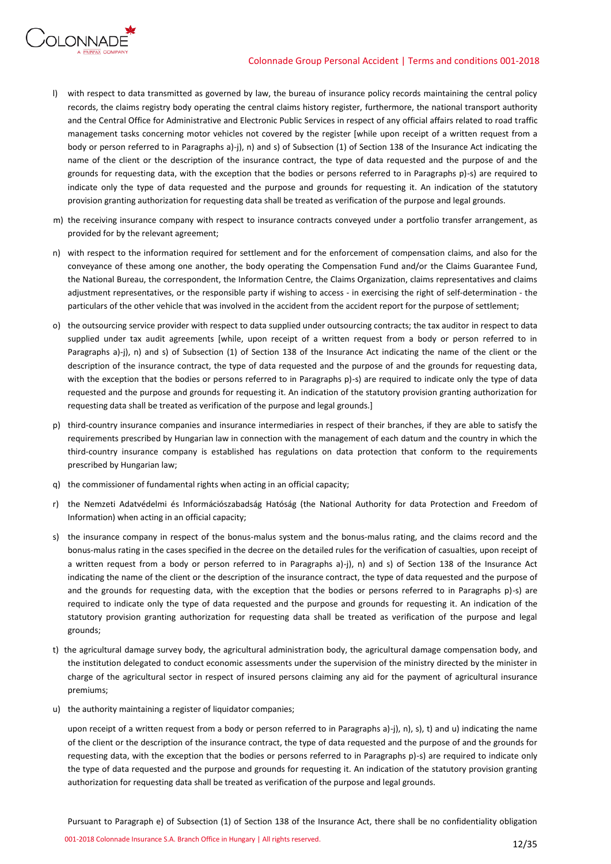# Colonnade Group Personal Accident | Terms and conditions 001-2018



- l) with respect to data transmitted as governed by law, the bureau of insurance policy records maintaining the central policy records, the claims registry body operating the central claims history register, furthermore, the national transport authority and the Central Office for Administrative and Electronic Public Services in respect of any official affairs related to road traffic management tasks concerning motor vehicles not covered by the register [while upon receipt of a written request from a body or person referred to in Paragraphs a)-j), n) and s) of Subsection (1) of Section 138 of the Insurance Act indicating the name of the client or the description of the insurance contract, the type of data requested and the purpose of and the grounds for requesting data, with the exception that the bodies or persons referred to in Paragraphs p)-s) are required to indicate only the type of data requested and the purpose and grounds for requesting it. An indication of the statutory provision granting authorization for requesting data shall be treated as verification of the purpose and legal grounds.
- m) the receiving insurance company with respect to insurance contracts conveyed under a portfolio transfer arrangement, as provided for by the relevant agreement;
- n) with respect to the information required for settlement and for the enforcement of compensation claims, and also for the conveyance of these among one another, the body operating the Compensation Fund and/or the Claims Guarantee Fund, the National Bureau, the correspondent, the Information Centre, the Claims Organization, claims representatives and claims adjustment representatives, or the responsible party if wishing to access - in exercising the right of self-determination - the particulars of the other vehicle that was involved in the accident from the accident report for the purpose of settlement;
- o) the outsourcing service provider with respect to data supplied under outsourcing contracts; the tax auditor in respect to data supplied under tax audit agreements [while, upon receipt of a written request from a body or person referred to in Paragraphs a)-j), n) and s) of Subsection (1) of Section 138 of the Insurance Act indicating the name of the client or the description of the insurance contract, the type of data requested and the purpose of and the grounds for requesting data, with the exception that the bodies or persons referred to in Paragraphs p)-s) are required to indicate only the type of data requested and the purpose and grounds for requesting it. An indication of the statutory provision granting authorization for requesting data shall be treated as verification of the purpose and legal grounds.]
- p) third-country insurance companies and insurance intermediaries in respect of their branches, if they are able to satisfy the requirements prescribed by Hungarian law in connection with the management of each datum and the country in which the third-country insurance company is established has regulations on data protection that conform to the requirements prescribed by Hungarian law;
- q) the commissioner of fundamental rights when acting in an official capacity;
- r) the Nemzeti Adatvédelmi és Információszabadság Hatóság (the National Authority for data Protection and Freedom of Information) when acting in an official capacity;
- s) the insurance company in respect of the bonus-malus system and the bonus-malus rating, and the claims record and the bonus-malus rating in the cases specified in the decree on the detailed rules for the verification of casualties, upon receipt of a written request from a body or person referred to in Paragraphs a)-j), n) and s) of Section 138 of the Insurance Act indicating the name of the client or the description of the insurance contract, the type of data requested and the purpose of and the grounds for requesting data, with the exception that the bodies or persons referred to in Paragraphs p)-s) are required to indicate only the type of data requested and the purpose and grounds for requesting it. An indication of the statutory provision granting authorization for requesting data shall be treated as verification of the purpose and legal grounds;
- t) the agricultural damage survey body, the agricultural administration body, the agricultural damage compensation body, and the institution delegated to conduct economic assessments under the supervision of the ministry directed by the minister in charge of the agricultural sector in respect of insured persons claiming any aid for the payment of agricultural insurance premiums;
- u) the authority maintaining a register of liquidator companies;

upon receipt of a written request from a body or person referred to in Paragraphs a)-j), n), s), t) and u) indicating the name of the client or the description of the insurance contract, the type of data requested and the purpose of and the grounds for requesting data, with the exception that the bodies or persons referred to in Paragraphs p)-s) are required to indicate only the type of data requested and the purpose and grounds for requesting it. An indication of the statutory provision granting authorization for requesting data shall be treated as verification of the purpose and legal grounds.

Pursuant to Paragraph e) of Subsection (1) of Section 138 of the Insurance Act, there shall be no confidentiality obligation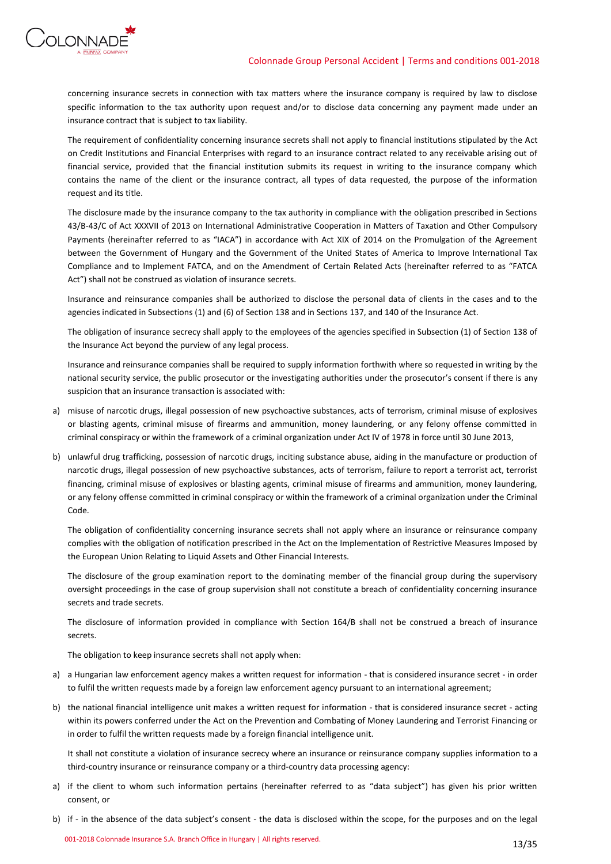



concerning insurance secrets in connection with tax matters where the insurance company is required by law to disclose specific information to the tax authority upon request and/or to disclose data concerning any payment made under an insurance contract that is subject to tax liability.

The requirement of confidentiality concerning insurance secrets shall not apply to financial institutions stipulated by the Act on Credit Institutions and Financial Enterprises with regard to an insurance contract related to any receivable arising out of financial service, provided that the financial institution submits its request in writing to the insurance company which contains the name of the client or the insurance contract, all types of data requested, the purpose of the information request and its title.

The disclosure made by the insurance company to the tax authority in compliance with the obligation prescribed in Sections 43/B-43/C of Act XXXVII of 2013 on International Administrative Cooperation in Matters of Taxation and Other Compulsory Payments (hereinafter referred to as "IACA") in accordance with Act XIX of 2014 on the Promulgation of the Agreement between the Government of Hungary and the Government of the United States of America to Improve International Tax Compliance and to Implement FATCA, and on the Amendment of Certain Related Acts (hereinafter referred to as "FATCA Act") shall not be construed as violation of insurance secrets.

Insurance and reinsurance companies shall be authorized to disclose the personal data of clients in the cases and to the agencies indicated in Subsections (1) and (6) of Section 138 and in Sections 137, and 140 of the Insurance Act.

The obligation of insurance secrecy shall apply to the employees of the agencies specified in Subsection (1) of Section 138 of the Insurance Act beyond the purview of any legal process.

Insurance and reinsurance companies shall be required to supply information forthwith where so requested in writing by the national security service, the public prosecutor or the investigating authorities under the prosecutor's consent if there is any suspicion that an insurance transaction is associated with:

- a) misuse of narcotic drugs, illegal possession of new psychoactive substances, acts of terrorism, criminal misuse of explosives or blasting agents, criminal misuse of firearms and ammunition, money laundering, or any felony offense committed in criminal conspiracy or within the framework of a criminal organization under Act IV of 1978 in force until 30 June 2013,
- b) unlawful drug trafficking, possession of narcotic drugs, inciting substance abuse, aiding in the manufacture or production of narcotic drugs, illegal possession of new psychoactive substances, acts of terrorism, failure to report a terrorist act, terrorist financing, criminal misuse of explosives or blasting agents, criminal misuse of firearms and ammunition, money laundering, or any felony offense committed in criminal conspiracy or within the framework of a criminal organization under the Criminal Code.

The obligation of confidentiality concerning insurance secrets shall not apply where an insurance or reinsurance company complies with the obligation of notification prescribed in the Act on the Implementation of Restrictive Measures Imposed by the European Union Relating to Liquid Assets and Other Financial Interests.

The disclosure of the group examination report to the dominating member of the financial group during the supervisory oversight proceedings in the case of group supervision shall not constitute a breach of confidentiality concerning insurance secrets and trade secrets.

The disclosure of information provided in compliance with Section 164/B shall not be construed a breach of insurance secrets.

The obligation to keep insurance secrets shall not apply when:

- a) a Hungarian law enforcement agency makes a written request for information that is considered insurance secret in order to fulfil the written requests made by a foreign law enforcement agency pursuant to an international agreement;
- b) the national financial intelligence unit makes a written request for information that is considered insurance secret acting within its powers conferred under the Act on the Prevention and Combating of Money Laundering and Terrorist Financing or in order to fulfil the written requests made by a foreign financial intelligence unit.

It shall not constitute a violation of insurance secrecy where an insurance or reinsurance company supplies information to a third-country insurance or reinsurance company or a third-country data processing agency:

- a) if the client to whom such information pertains (hereinafter referred to as "data subject") has given his prior written consent, or
- b) if in the absence of the data subject's consent the data is disclosed within the scope, for the purposes and on the legal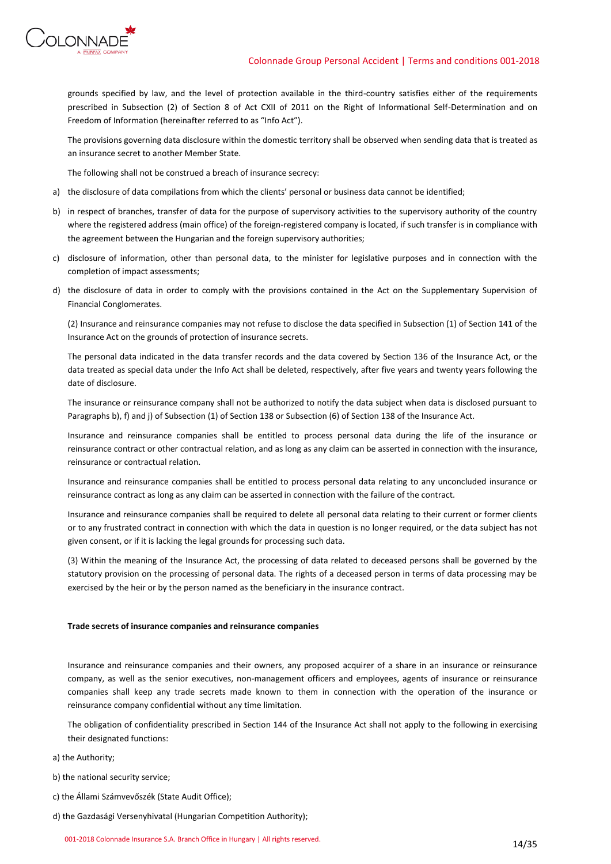

grounds specified by law, and the level of protection available in the third-country satisfies either of the requirements prescribed in Subsection (2) of Section 8 of Act CXII of 2011 on the Right of Informational Self-Determination and on Freedom of Information (hereinafter referred to as "Info Act").

The provisions governing data disclosure within the domestic territory shall be observed when sending data that is treated as an insurance secret to another Member State.

The following shall not be construed a breach of insurance secrecy:

- a) the disclosure of data compilations from which the clients' personal or business data cannot be identified;
- b) in respect of branches, transfer of data for the purpose of supervisory activities to the supervisory authority of the country where the registered address (main office) of the foreign-registered company is located, if such transfer is in compliance with the agreement between the Hungarian and the foreign supervisory authorities;
- c) disclosure of information, other than personal data, to the minister for legislative purposes and in connection with the completion of impact assessments;
- d) the disclosure of data in order to comply with the provisions contained in the Act on the Supplementary Supervision of Financial Conglomerates.

(2) Insurance and reinsurance companies may not refuse to disclose the data specified in Subsection (1) of Section 141 of the Insurance Act on the grounds of protection of insurance secrets.

The personal data indicated in the data transfer records and the data covered by Section 136 of the Insurance Act, or the data treated as special data under the Info Act shall be deleted, respectively, after five years and twenty years following the date of disclosure.

The insurance or reinsurance company shall not be authorized to notify the data subject when data is disclosed pursuant to Paragraphs b), f) and j) of Subsection (1) of Section 138 or Subsection (6) of Section 138 of the Insurance Act.

Insurance and reinsurance companies shall be entitled to process personal data during the life of the insurance or reinsurance contract or other contractual relation, and as long as any claim can be asserted in connection with the insurance, reinsurance or contractual relation.

Insurance and reinsurance companies shall be entitled to process personal data relating to any unconcluded insurance or reinsurance contract as long as any claim can be asserted in connection with the failure of the contract.

Insurance and reinsurance companies shall be required to delete all personal data relating to their current or former clients or to any frustrated contract in connection with which the data in question is no longer required, or the data subject has not given consent, or if it is lacking the legal grounds for processing such data.

(3) Within the meaning of the Insurance Act, the processing of data related to deceased persons shall be governed by the statutory provision on the processing of personal data. The rights of a deceased person in terms of data processing may be exercised by the heir or by the person named as the beneficiary in the insurance contract.

### **Trade secrets of insurance companies and reinsurance companies**

Insurance and reinsurance companies and their owners, any proposed acquirer of a share in an insurance or reinsurance company, as well as the senior executives, non-management officers and employees, agents of insurance or reinsurance companies shall keep any trade secrets made known to them in connection with the operation of the insurance or reinsurance company confidential without any time limitation.

The obligation of confidentiality prescribed in Section 144 of the Insurance Act shall not apply to the following in exercising their designated functions:

- a) the Authority;
- b) the national security service;
- c) the Állami Számvevőszék (State Audit Office);
- d) the Gazdasági Versenyhivatal (Hungarian Competition Authority);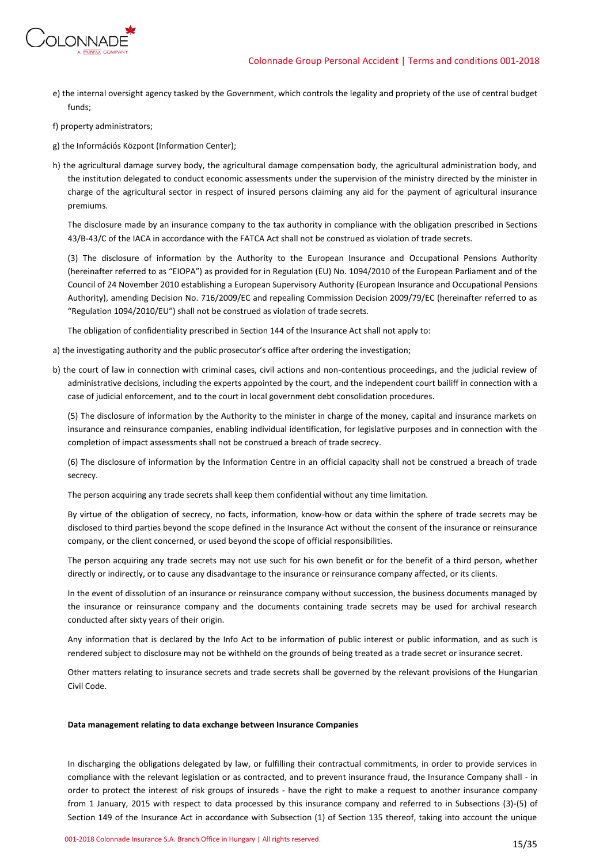

- e) the internal oversight agency tasked by the Government, which controls the legality and propriety of the use of central budget funds;
- f) property administrators;
- g) the Információs Központ (Information Center);
- h) the agricultural damage survey body, the agricultural damage compensation body, the agricultural administration body, and the institution delegated to conduct economic assessments under the supervision of the ministry directed by the minister in charge of the agricultural sector in respect of insured persons claiming any aid for the payment of agricultural insurance premiums.

The disclosure made by an insurance company to the tax authority in compliance with the obligation prescribed in Sections 43/B-43/C of the IACA in accordance with the FATCA Act shall not be construed as violation of trade secrets.

(3) The disclosure of information by the Authority to the European Insurance and Occupational Pensions Authority (hereinafter referred to as "EIOPA") as provided for in Regulation (EU) No. 1094/2010 of the European Parliament and of the Council of 24 November 2010 establishing a European Supervisory Authority (European Insurance and Occupational Pensions Authority), amending Decision No. 716/2009/EC and repealing Commission Decision 2009/79/EC (hereinafter referred to as "Regulation 1094/2010/EU") shall not be construed as violation of trade secrets.

The obligation of confidentiality prescribed in Section 144 of the Insurance Act shall not apply to:

- a) the investigating authority and the public prosecutor's office after ordering the investigation;
- b) the court of law in connection with criminal cases, civil actions and non-contentious proceedings, and the judicial review of administrative decisions, including the experts appointed by the court, and the independent court bailiff in connection with a case of judicial enforcement, and to the court in local government debt consolidation procedures.

(5) The disclosure of information by the Authority to the minister in charge of the money, capital and insurance markets on insurance and reinsurance companies, enabling individual identification, for legislative purposes and in connection with the completion of impact assessments shall not be construed a breach of trade secrecy.

(6) The disclosure of information by the Information Centre in an official capacity shall not be construed a breach of trade secrecy.

The person acquiring any trade secrets shall keep them confidential without any time limitation.

By virtue of the obligation of secrecy, no facts, information, know-how or data within the sphere of trade secrets may be disclosed to third parties beyond the scope defined in the Insurance Act without the consent of the insurance or reinsurance company, or the client concerned, or used beyond the scope of official responsibilities.

The person acquiring any trade secrets may not use such for his own benefit or for the benefit of a third person, whether directly or indirectly, or to cause any disadvantage to the insurance or reinsurance company affected, or its clients.

In the event of dissolution of an insurance or reinsurance company without succession, the business documents managed by the insurance or reinsurance company and the documents containing trade secrets may be used for archival research conducted after sixty years of their origin.

Any information that is declared by the Info Act to be information of public interest or public information, and as such is rendered subject to disclosure may not be withheld on the grounds of being treated as a trade secret or insurance secret.

Other matters relating to insurance secrets and trade secrets shall be governed by the relevant provisions of the Hungarian Civil Code.

### **Data management relating to data exchange between Insurance Companies**

In discharging the obligations delegated by law, or fulfilling their contractual commitments, in order to provide services in compliance with the relevant legislation or as contracted, and to prevent insurance fraud, the Insurance Company shall - in order to protect the interest of risk groups of insureds - have the right to make a request to another insurance company from 1 January, 2015 with respect to data processed by this insurance company and referred to in Subsections (3)-(5) of Section 149 of the Insurance Act in accordance with Subsection (1) of Section 135 thereof, taking into account the unique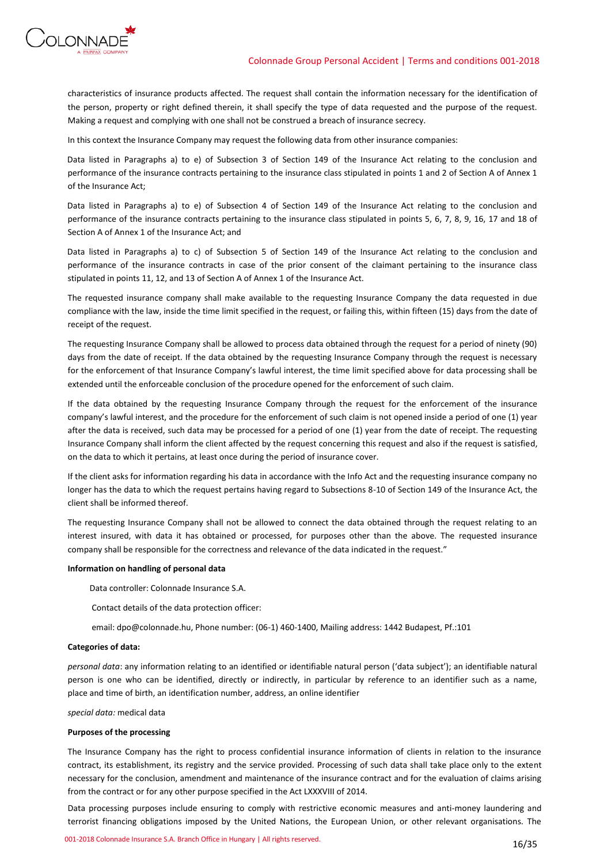

characteristics of insurance products affected. The request shall contain the information necessary for the identification of the person, property or right defined therein, it shall specify the type of data requested and the purpose of the request. Making a request and complying with one shall not be construed a breach of insurance secrecy.

In this context the Insurance Company may request the following data from other insurance companies:

Data listed in Paragraphs a) to e) of Subsection 3 of Section 149 of the Insurance Act relating to the conclusion and performance of the insurance contracts pertaining to the insurance class stipulated in points 1 and 2 of Section A of Annex 1 of the Insurance Act;

Data listed in Paragraphs a) to e) of Subsection 4 of Section 149 of the Insurance Act relating to the conclusion and performance of the insurance contracts pertaining to the insurance class stipulated in points 5, 6, 7, 8, 9, 16, 17 and 18 of Section A of Annex 1 of the Insurance Act; and

Data listed in Paragraphs a) to c) of Subsection 5 of Section 149 of the Insurance Act relating to the conclusion and performance of the insurance contracts in case of the prior consent of the claimant pertaining to the insurance class stipulated in points 11, 12, and 13 of Section A of Annex 1 of the Insurance Act.

The requested insurance company shall make available to the requesting Insurance Company the data requested in due compliance with the law, inside the time limit specified in the request, or failing this, within fifteen (15) days from the date of receipt of the request.

The requesting Insurance Company shall be allowed to process data obtained through the request for a period of ninety (90) days from the date of receipt. If the data obtained by the requesting Insurance Company through the request is necessary for the enforcement of that Insurance Company's lawful interest, the time limit specified above for data processing shall be extended until the enforceable conclusion of the procedure opened for the enforcement of such claim.

If the data obtained by the requesting Insurance Company through the request for the enforcement of the insurance company's lawful interest, and the procedure for the enforcement of such claim is not opened inside a period of one (1) year after the data is received, such data may be processed for a period of one (1) year from the date of receipt. The requesting Insurance Company shall inform the client affected by the request concerning this request and also if the request is satisfied, on the data to which it pertains, at least once during the period of insurance cover.

If the client asks for information regarding his data in accordance with the Info Act and the requesting insurance company no longer has the data to which the request pertains having regard to Subsections 8-10 of Section 149 of the Insurance Act, the client shall be informed thereof.

The requesting Insurance Company shall not be allowed to connect the data obtained through the request relating to an interest insured, with data it has obtained or processed, for purposes other than the above. The requested insurance company shall be responsible for the correctness and relevance of the data indicated in the request."

### **Information on handling of personal data**

Data controller: Colonnade Insurance S.A.

Contact details of the data protection officer:

email: dpo@colonnade.hu, Phone number: (06-1) 460-1400, Mailing address: 1442 Budapest, Pf.:101

#### **Categories of data:**

*personal data*: any information relating to an identified or identifiable natural person ('data subject'); an identifiable natural person is one who can be identified, directly or indirectly, in particular by reference to an identifier such as a name, place and time of birth, an identification number, address, an online identifier

*special data:* medical data

### **Purposes of the processing**

The Insurance Company has the right to process confidential insurance information of clients in relation to the insurance contract, its establishment, its registry and the service provided. Processing of such data shall take place only to the extent necessary for the conclusion, amendment and maintenance of the insurance contract and for the evaluation of claims arising from the contract or for any other purpose specified in the Act LXXXVIII of 2014.

Data processing purposes include ensuring to comply with restrictive economic measures and anti-money laundering and terrorist financing obligations imposed by the United Nations, the European Union, or other relevant organisations. The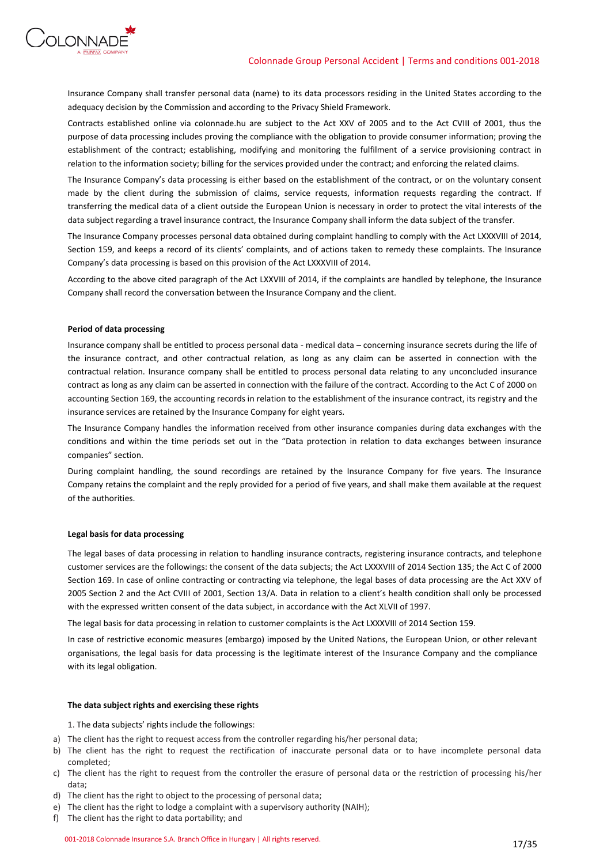

Insurance Company shall transfer personal data (name) to its data processors residing in the United States according to the adequacy decision by the Commission and according to the Privacy Shield Framework.

Contracts established online via colonnade.hu are subject to the Act XXV of 2005 and to the Act CVIII of 2001, thus the purpose of data processing includes proving the compliance with the obligation to provide consumer information; proving the establishment of the contract; establishing, modifying and monitoring the fulfilment of a service provisioning contract in relation to the information society; billing for the services provided under the contract; and enforcing the related claims.

The Insurance Company's data processing is either based on the establishment of the contract, or on the voluntary consent made by the client during the submission of claims, service requests, information requests regarding the contract. If transferring the medical data of a client outside the European Union is necessary in order to protect the vital interests of the data subject regarding a travel insurance contract, the Insurance Company shall inform the data subject of the transfer.

The Insurance Company processes personal data obtained during complaint handling to comply with the Act LXXXVIII of 2014, Section 159, and keeps a record of its clients' complaints, and of actions taken to remedy these complaints. The Insurance Company's data processing is based on this provision of the Act LXXXVIII of 2014.

According to the above cited paragraph of the Act LXXVIII of 2014, if the complaints are handled by telephone, the Insurance Company shall record the conversation between the Insurance Company and the client.

### **Period of data processing**

Insurance company shall be entitled to process personal data - medical data – concerning insurance secrets during the life of the insurance contract, and other contractual relation, as long as any claim can be asserted in connection with the contractual relation. Insurance company shall be entitled to process personal data relating to any unconcluded insurance contract as long as any claim can be asserted in connection with the failure of the contract. According to the Act C of 2000 on accounting Section 169, the accounting records in relation to the establishment of the insurance contract, its registry and the insurance services are retained by the Insurance Company for eight years.

The Insurance Company handles the information received from other insurance companies during data exchanges with the conditions and within the time periods set out in the "Data protection in relation to data exchanges between insurance companies" section.

During complaint handling, the sound recordings are retained by the Insurance Company for five years. The Insurance Company retains the complaint and the reply provided for a period of five years, and shall make them available at the request of the authorities.

### **Legal basis for data processing**

The legal bases of data processing in relation to handling insurance contracts, registering insurance contracts, and telephone customer services are the followings: the consent of the data subjects; the Act LXXXVIII of 2014 Section 135; the Act C of 2000 Section 169. In case of online contracting or contracting via telephone, the legal bases of data processing are the Act XXV of 2005 Section 2 and the Act CVIII of 2001, Section 13/A. Data in relation to a client's health condition shall only be processed with the expressed written consent of the data subject, in accordance with the Act XLVII of 1997.

The legal basis for data processing in relation to customer complaints is the Act LXXXVIII of 2014 Section 159.

In case of restrictive economic measures (embargo) imposed by the United Nations, the European Union, or other relevant organisations, the legal basis for data processing is the legitimate interest of the Insurance Company and the compliance with its legal obligation.

### **The data subject rights and exercising these rights**

1. The data subjects' rights include the followings:

- a) The client has the right to request access from the controller regarding his/her personal data;
- b) The client has the right to request the rectification of inaccurate personal data or to have incomplete personal data completed;
- c) The client has the right to request from the controller the erasure of personal data or the restriction of processing his/her data;
- d) The client has the right to object to the processing of personal data;
- e) The client has the right to lodge a complaint with a supervisory authority (NAIH);
- f) The client has the right to data portability; and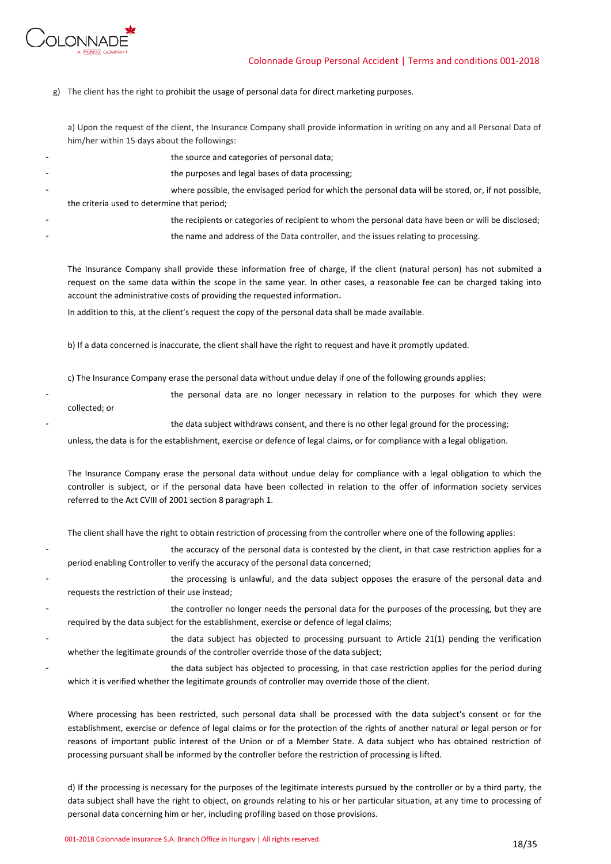

g) The client has the right to prohibit the usage of personal data for direct marketing purposes.

a) Upon the request of the client, the Insurance Company shall provide information in writing on any and all Personal Data of him/her within 15 days about the followings:

the source and categories of personal data; the purposes and legal bases of data processing; where possible, the envisaged period for which the personal data will be stored, or, if not possible, the criteria used to determine that period; the recipients or categories of recipient to whom the personal data have been or will be disclosed; the name and address of the Data controller, and the issues relating to processing.

The Insurance Company shall provide these information free of charge, if the client (natural person) has not submited a request on the same data within the scope in the same year. In other cases, a reasonable fee can be charged taking into account the administrative costs of providing the requested information.

In addition to this, at the client's request the copy of the personal data shall be made available.

b) If a data concerned is inaccurate, the client shall have the right to request and have it promptly updated.

c) The Insurance Company erase the personal data without undue delay if one of the following grounds applies:

the personal data are no longer necessary in relation to the purposes for which they were collected; or

the data subject withdraws consent, and there is no other legal ground for the processing;

unless, the data is for the establishment, exercise or defence of legal claims, or for compliance with a legal obligation.

The Insurance Company erase the personal data without undue delay for compliance with a legal obligation to which the controller is subject, or if the personal data have been collected in relation to the offer of information society services referred to the Act CVIII of 2001 section 8 paragraph 1.

The client shall have the right to obtain restriction of processing from the controller where one of the following applies:

the accuracy of the personal data is contested by the client, in that case restriction applies for a period enabling Controller to verify the accuracy of the personal data concerned;

the processing is unlawful, and the data subject opposes the erasure of the personal data and requests the restriction of their use instead;

the controller no longer needs the personal data for the purposes of the processing, but they are required by the data subject for the establishment, exercise or defence of legal claims;

the data subject has objected to processing pursuant to Article 21(1) pending the verification whether the legitimate grounds of the controller override those of the data subject;

the data subject has objected to processing, in that case restriction applies for the period during which it is verified whether the legitimate grounds of controller may override those of the client.

Where processing has been restricted, such personal data shall be processed with the data subject's consent or for the establishment, exercise or defence of legal claims or for the protection of the rights of another natural or legal person or for reasons of important public interest of the Union or of a Member State. A data subject who has obtained restriction of processing pursuant shall be informed by the controller before the restriction of processing is lifted.

d) If the processing is necessary for the purposes of the legitimate interests pursued by the controller or by a third party, the data subject shall have the right to object, on grounds relating to his or her particular situation, at any time to processing of personal data concerning him or her, including profiling based on those provisions.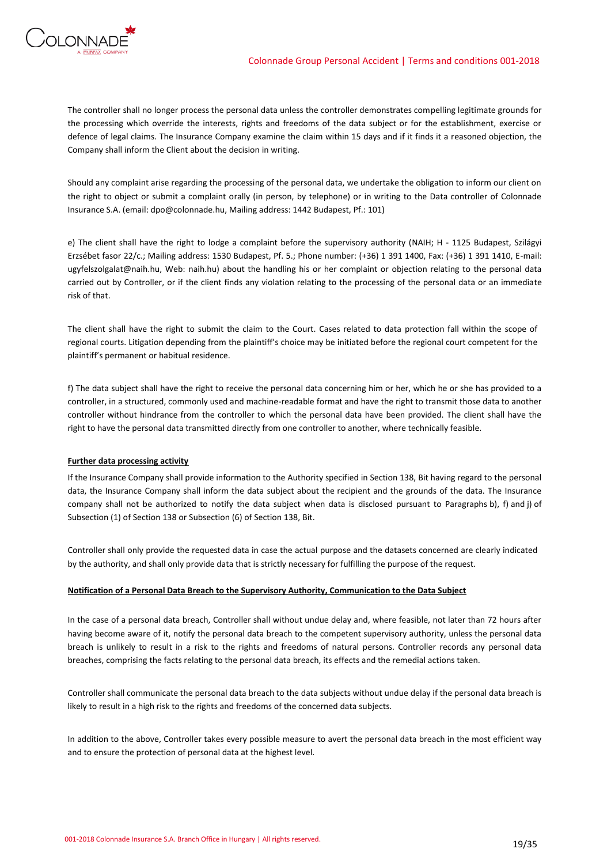

The controller shall no longer process the personal data unless the controller demonstrates compelling legitimate grounds for the processing which override the interests, rights and freedoms of the data subject or for the establishment, exercise or defence of legal claims. The Insurance Company examine the claim within 15 days and if it finds it a reasoned objection, the Company shall inform the Client about the decision in writing.

Should any complaint arise regarding the processing of the personal data, we undertake the obligation to inform our client on the right to object or submit a complaint orally (in person, by telephone) or in writing to the Data controller of Colonnade Insurance S.A. (email: dpo@colonnade.hu, Mailing address: 1442 Budapest, Pf.: 101)

e) The client shall have the right to lodge a complaint before the supervisory authority (NAIH; H - 1125 Budapest, Szilágyi Erzsébet fasor 22/c.; Mailing address: 1530 Budapest, Pf. 5.; Phone number: (+36) 1 391 1400, Fax: (+36) 1 391 1410, E-mail: ugyfelszolgalat@naih.hu, Web: naih.hu) about the handling his or her complaint or objection relating to the personal data carried out by Controller, or if the client finds any violation relating to the processing of the personal data or an immediate risk of that.

The client shall have the right to submit the claim to the Court. Cases related to data protection fall within the scope of regional courts. Litigation depending from the plaintiff's choice may be initiated before the regional court competent for the plaintiff's permanent or habitual residence.

f) The data subject shall have the right to receive the personal data concerning him or her, which he or she has provided to a controller, in a structured, commonly used and machine-readable format and have the right to transmit those data to another controller without hindrance from the controller to which the personal data have been provided. The client shall have the right to have the personal data transmitted directly from one controller to another, where technically feasible.

### **Further data processing activity**

If the Insurance Company shall provide information to the Authority specified in Section 138, Bit having regard to the personal data, the Insurance Company shall inform the data subject about the recipient and the grounds of the data. The Insurance company shall not be authorized to notify the data subject when data is disclosed pursuant to Paragraphs b), f) and j) of Subsection (1) of Section 138 or Subsection (6) of Section 138, Bit.

Controller shall only provide the requested data in case the actual purpose and the datasets concerned are clearly indicated by the authority, and shall only provide data that is strictly necessary for fulfilling the purpose of the request.

### **Notification of a Personal Data Breach to the Supervisory Authority, Communication to the Data Subject**

In the case of a personal data breach, Controller shall without undue delay and, where feasible, not later than 72 hours after having become aware of it, notify the personal data breach to the competent supervisory authority, unless the personal data breach is unlikely to result in a risk to the rights and freedoms of natural persons. Controller records any personal data breaches, comprising the facts relating to the personal data breach, its effects and the remedial actions taken.

Controller shall communicate the personal data breach to the data subjects without undue delay if the personal data breach is likely to result in a high risk to the rights and freedoms of the concerned data subjects.

In addition to the above, Controller takes every possible measure to avert the personal data breach in the most efficient way and to ensure the protection of personal data at the highest level.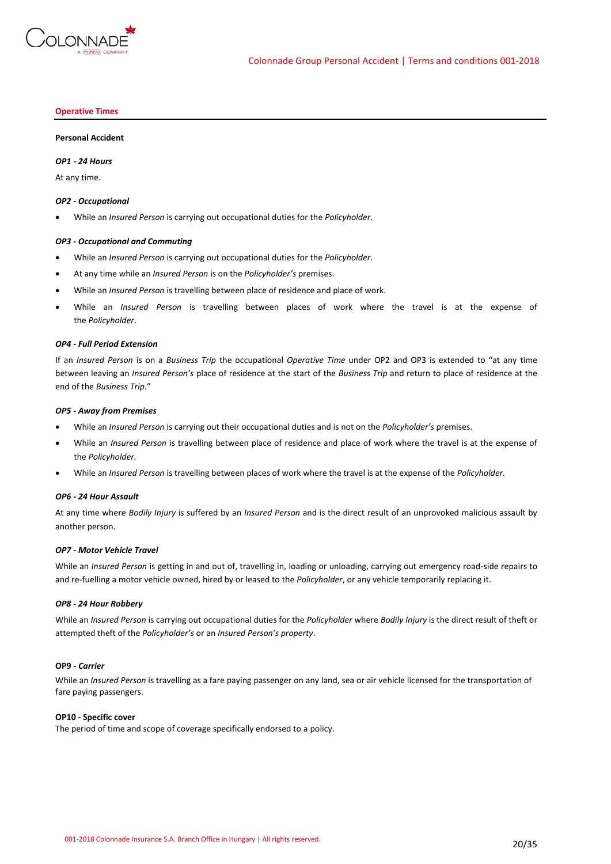

#### **Operative Times**

#### **Personal Accident**

### *OP1 - 24 Hours*

At any time.

#### *OP2 - Occupational*

• While an *Insured Person* is carrying out occupational duties for the *Policyholder*.

### *OP3 - Occupational and Commuting*

- While an *Insured Person* is carrying out occupational duties for the *Policyholder*.
- At any time while an *Insured Person* is on the *Policyholder's* premises.
- While an *Insured Person* is travelling between place of residence and place of work.
- While an *Insured Person* is travelling between places of work where the travel is at the expense of the *Policyholder*.

### *OP4 - Full Period Extension*

If an *Insured Person* is on a *Business Trip* the occupational *Operative Time* under OP2 and OP3 is extended to "at any time between leaving an *Insured Person's* place of residence at the start of the *Business Trip* and return to place of residence at the end of the *Business Trip*."

#### *OP5 - Away from Premises*

- While an *Insured Person* is carrying out their occupational duties and is not on the *Policyholder's* premises.
- While an *Insured Person* is travelling between place of residence and place of work where the travel is at the expense of the *Policyholder.*
- While an *Insured Person* is travelling between places of work where the travel is at the expense of the *Policyholder.*

#### *OP6 - 24 Hour Assault*

At any time where *Bodily Injury* is suffered by an *Insured Person* and is the direct result of an unprovoked malicious assault by another person.

#### *OP7 - Motor Vehicle Travel*

While an *Insured Person* is getting in and out of, travelling in, loading or unloading, carrying out emergency road-side repairs to and re-fuelling a motor vehicle owned, hired by or leased to the *Policyholder*, or any vehicle temporarily replacing it.

#### *OP8 - 24 Hour Robbery*

While an *Insured Person* is carrying out occupational duties for the *Policyholder* where *Bodily Injury* is the direct result of theft or attempted theft of the *Policyholder's* or an *Insured Person's property*.

### **OP9 -** *Carrier*

While an *Insured Person* is travelling as a fare paying passenger on any land, sea or air vehicle licensed for the transportation of fare paying passengers.

### **OP10 - Specific cover**

The period of time and scope of coverage specifically endorsed to a policy.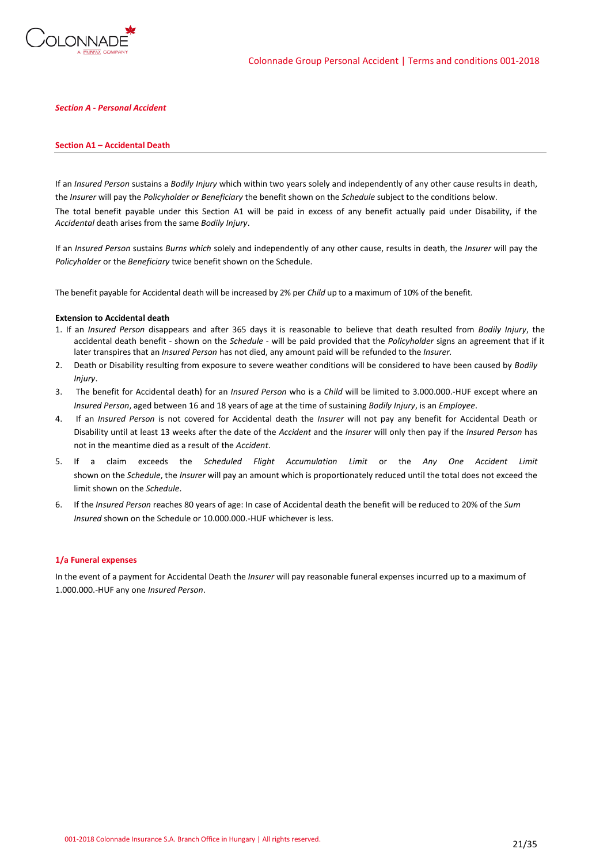

### *Section A - Personal Accident*

#### **Section A1 – Accidental Death**

If an *Insured Person* sustains a *Bodily Injury* which within two years solely and independently of any other cause results in death, the *Insurer* will pay the *Policyholder or Beneficiary* the benefit shown on the *Schedule* subject to the conditions below. The total benefit payable under this Section A1 will be paid in excess of any benefit actually paid under Disability, if the *Accidental* death arises from the same *Bodily Injury*.

If an *Insured Person* sustains *Burns which* solely and independently of any other cause, results in death, the *Insurer* will pay the *Policyholder* or the *Beneficiary* twice benefit shown on the Schedule.

The benefit payable for Accidental death will be increased by 2% per *Child* up to a maximum of 10% of the benefit.

#### **Extension to Accidental death**

- 1. If an *Insured Person* disappears and after 365 days it is reasonable to believe that death resulted from *Bodily Injury*, the accidental death benefit - shown on the *Schedule* - will be paid provided that the *Policyholder* signs an agreement that if it later transpires that an *Insured Person* has not died, any amount paid will be refunded to the *Insurer.*
- 2. Death or Disability resulting from exposure to severe weather conditions will be considered to have been caused by *Bodily Injury*.
- 3. The benefit for Accidental death) for an *Insured Person* who is a *Child* will be limited to 3.000.000.-HUF except where an *Insured Person*, aged between 16 and 18 years of age at the time of sustaining *Bodily Injury*, is an *Employee*.
- 4. If an *Insured Person* is not covered for Accidental death the *Insurer* will not pay any benefit for Accidental Death or Disability until at least 13 weeks after the date of the *Accident* and the *Insurer* will only then pay if the *Insured Person* has not in the meantime died as a result of the *Accident*.
- 5. If a claim exceeds the *Scheduled Flight Accumulation Limit* or the *Any One Accident Limit* shown on the *Schedule*, the *Insurer* will pay an amount which is proportionately reduced until the total does not exceed the limit shown on the *Schedule*.
- 6. If the *Insured Person* reaches 80 years of age: In case of Accidental death the benefit will be reduced to 20% of the *Sum Insured* shown on the Schedule or 10.000.000.-HUF whichever is less.

#### **1/a Funeral expenses**

In the event of a payment for Accidental Death the *Insurer* will pay reasonable funeral expenses incurred up to a maximum of 1.000.000.-HUF any one *Insured Person*.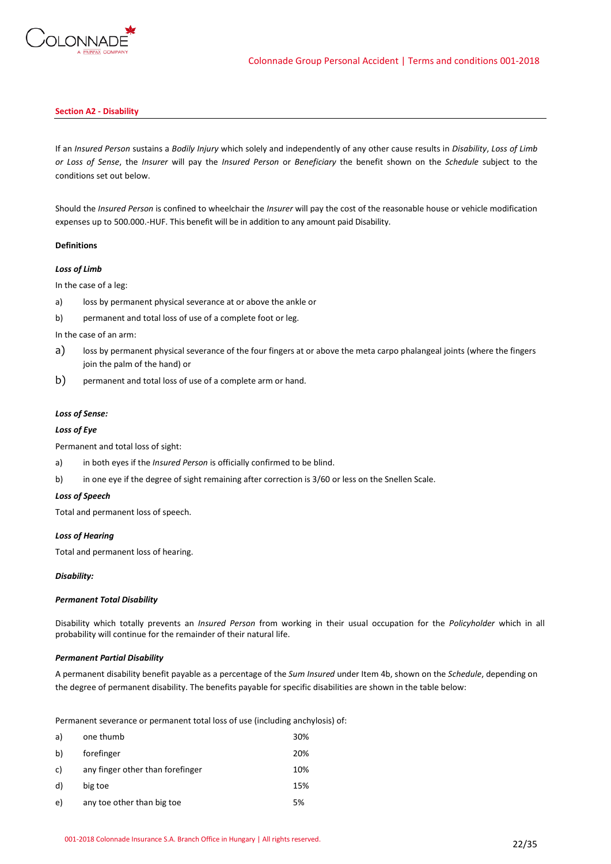

### **Section A2 - Disability**

If an *Insured Person* sustains a *Bodily Injury* which solely and independently of any other cause results in *Disability*, *Loss of Limb or Loss of Sense*, the *Insurer* will pay the *Insured Person* or *Beneficiary* the benefit shown on the *Schedule* subject to the conditions set out below.

Should the *Insured Person* is confined to wheelchair the *Insurer* will pay the cost of the reasonable house or vehicle modification expenses up to 500.000.-HUF. This benefit will be in addition to any amount paid Disability.

### **Definitions**

### *Loss of Limb*

In the case of a leg:

- a) loss by permanent physical severance at or above the ankle or
- b) permanent and total loss of use of a complete foot or leg.

In the case of an arm:

- a) loss by permanent physical severance of the four fingers at or above the meta carpo phalangeal joints (where the fingers join the palm of the hand) or
- b) permanent and total loss of use of a complete arm or hand.

### *Loss of Sense:*

### *Loss of Eye*

Permanent and total loss of sight:

- a) in both eyes if the *Insured Person* is officially confirmed to be blind.
- b) in one eye if the degree of sight remaining after correction is 3/60 or less on the Snellen Scale.

### *Loss of Speech*

Total and permanent loss of speech.

### *Loss of Hearing*

Total and permanent loss of hearing.

### *Disability:*

### *Permanent Total Disability*

Disability which totally prevents an *Insured Person* from working in their usual occupation for the *Policyholder* which in all probability will continue for the remainder of their natural life.

### *Permanent Partial Disability*

A permanent disability benefit payable as a percentage of the *Sum Insured* under Item 4b, shown on the *Schedule*, depending on the degree of permanent disability. The benefits payable for specific disabilities are shown in the table below:

Permanent severance or permanent total loss of use (including anchylosis) of:

| a) | one thumb                        | 30% |
|----|----------------------------------|-----|
| b) | forefinger                       | 20% |
| c) | any finger other than forefinger | 10% |
| d) | big toe                          | 15% |
| e) | any toe other than big toe       | 5%  |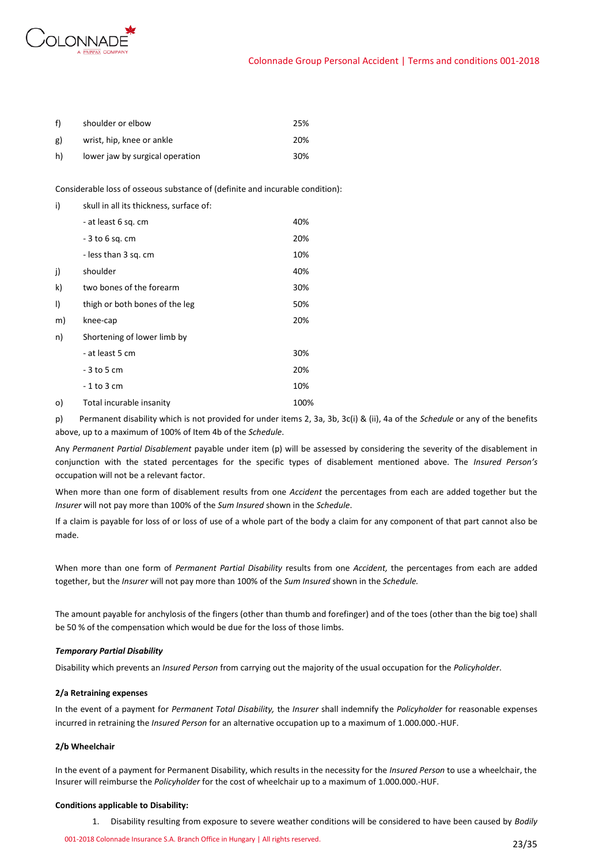

| f)        | shoulder or elbow               | 25% |
|-----------|---------------------------------|-----|
| <b>g)</b> | wrist, hip, knee or ankle       | 20% |
| h)        | lower jaw by surgical operation | 30% |

Considerable loss of osseous substance of (definite and incurable condition):

| i) | skull in all its thickness, surface of: |      |
|----|-----------------------------------------|------|
|    | - at least 6 sq. cm                     | 40%  |
|    | $-3$ to 6 sq. cm                        | 20%  |
|    | - less than 3 sq. cm                    | 10%  |
| j) | shoulder                                | 40%  |
| k) | two bones of the forearm                | 30%  |
| I) | thigh or both bones of the leg          | 50%  |
| m) | knee-cap                                | 20%  |
| n) | Shortening of lower limb by             |      |
|    | - at least 5 cm                         | 30%  |
|    | - 3 to 5 cm                             | 20%  |
|    | - 1 to 3 cm                             | 10%  |
| o) | Total incurable insanity                | 100% |

p) Permanent disability which is not provided for under items 2, 3a, 3b, 3c(i) & (ii), 4a of the *Schedule* or any of the benefits above, up to a maximum of 100% of Item 4b of the *Schedule*.

Any *Permanent Partial Disablement* payable under item (p) will be assessed by considering the severity of the disablement in conjunction with the stated percentages for the specific types of disablement mentioned above. The *Insured Person's* occupation will not be a relevant factor.

When more than one form of disablement results from one *Accident* the percentages from each are added together but the *Insurer* will not pay more than 100% of the *Sum Insured* shown in the *Schedule*.

If a claim is payable for loss of or loss of use of a whole part of the body a claim for any component of that part cannot also be made.

When more than one form of *Permanent Partial Disability* results from one *Accident,* the percentages from each are added together, but the *Insurer* will not pay more than 100% of the *Sum Insured* shown in the *Schedule.*

The amount payable for anchylosis of the fingers (other than thumb and forefinger) and of the toes (other than the big toe) shall be 50 % of the compensation which would be due for the loss of those limbs.

### *Temporary Partial Disability*

Disability which prevents an *Insured Person* from carrying out the majority of the usual occupation for the *Policyholder*.

### **2/a Retraining expenses**

In the event of a payment for *Permanent Total Disability,* the *Insurer* shall indemnify the *Policyholder* for reasonable expenses incurred in retraining the *Insured Person* for an alternative occupation up to a maximum of 1.000.000.-HUF.

### **2/b Wheelchair**

In the event of a payment for Permanent Disability, which results in the necessity for the *Insured Person* to use a wheelchair, the Insurer will reimburse the *Policyholder* for the cost of wheelchair up to a maximum of 1.000.000.-HUF.

### **Conditions applicable to Disability:**

1. Disability resulting from exposure to severe weather conditions will be considered to have been caused by *Bodily*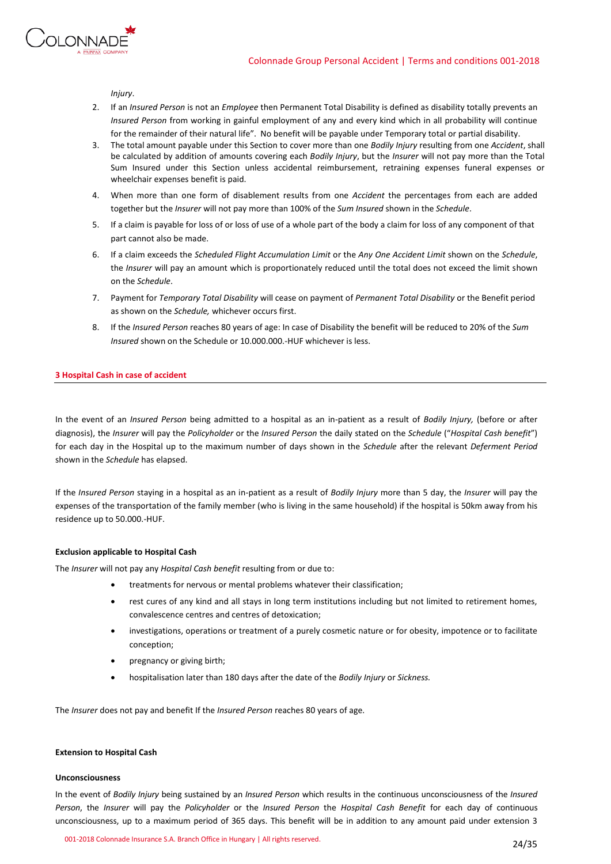



*Injury*.

- 2. If an *Insured Person* is not an *Employee* then Permanent Total Disability is defined as disability totally prevents an *Insured Person* from working in gainful employment of any and every kind which in all probability will continue for the remainder of their natural life". No benefit will be payable under Temporary total or partial disability.
- 3. The total amount payable under this Section to cover more than one *Bodily Injury* resulting from one *Accident*, shall be calculated by addition of amounts covering each *Bodily Injury*, but the *Insurer* will not pay more than the Total Sum Insured under this Section unless accidental reimbursement, retraining expenses funeral expenses or wheelchair expenses benefit is paid.
- 4. When more than one form of disablement results from one *Accident* the percentages from each are added together but the *Insurer* will not pay more than 100% of the *Sum Insured* shown in the *Schedule*.
- 5. If a claim is payable for loss of or loss of use of a whole part of the body a claim for loss of any component of that part cannot also be made.
- 6. If a claim exceeds the *Scheduled Flight Accumulation Limit* or the *Any One Accident Limit* shown on the *Schedule*, the *Insurer* will pay an amount which is proportionately reduced until the total does not exceed the limit shown on the *Schedule*.
- 7. Payment for *Temporary Total Disability* will cease on payment of *Permanent Total Disability* or the Benefit period as shown on the *Schedule,* whichever occurs first.
- 8. If the *Insured Person* reaches 80 years of age: In case of Disability the benefit will be reduced to 20% of the *Sum Insured* shown on the Schedule or 10.000.000.-HUF whichever is less.

# **3 Hospital Cash in case of accident**

In the event of an *Insured Person* being admitted to a hospital as an in-patient as a result of *Bodily Injury,* (before or after diagnosis), the *Insurer* will pay the *Policyholder* or the *Insured Person* the daily stated on the *Schedule* ("*Hospital Cash benefit*") for each day in the Hospital up to the maximum number of days shown in the *Schedule* after the relevant *Deferment Period* shown in the *Schedule* has elapsed.

If the *Insured Person* staying in a hospital as an in-patient as a result of *Bodily Injury* more than 5 day, the *Insurer* will pay the expenses of the transportation of the family member (who is living in the same household) if the hospital is 50km away from his residence up to 50.000.-HUF.

### **Exclusion applicable to Hospital Cash**

The *Insurer* will not pay any *Hospital Cash benefit* resulting from or due to:

- treatments for nervous or mental problems whatever their classification;
- rest cures of any kind and all stays in long term institutions including but not limited to retirement homes, convalescence centres and centres of detoxication;
- investigations, operations or treatment of a purely cosmetic nature or for obesity, impotence or to facilitate conception;
- pregnancy or giving birth;
- hospitalisation later than 180 days after the date of the *Bodily Injury* or *Sickness.*

The *Insurer* does not pay and benefit If the *Insured Person* reaches 80 years of age.

### **Extension to Hospital Cash**

### **Unconsciousness**

In the event of *Bodily Injury* being sustained by an *Insured Person* which results in the continuous unconsciousness of the *Insured Person*, the *Insurer* will pay the *Policyholder* or the *Insured Person* the *Hospital Cash Benefit* for each day of continuous unconsciousness, up to a maximum period of 365 days. This benefit will be in addition to any amount paid under extension 3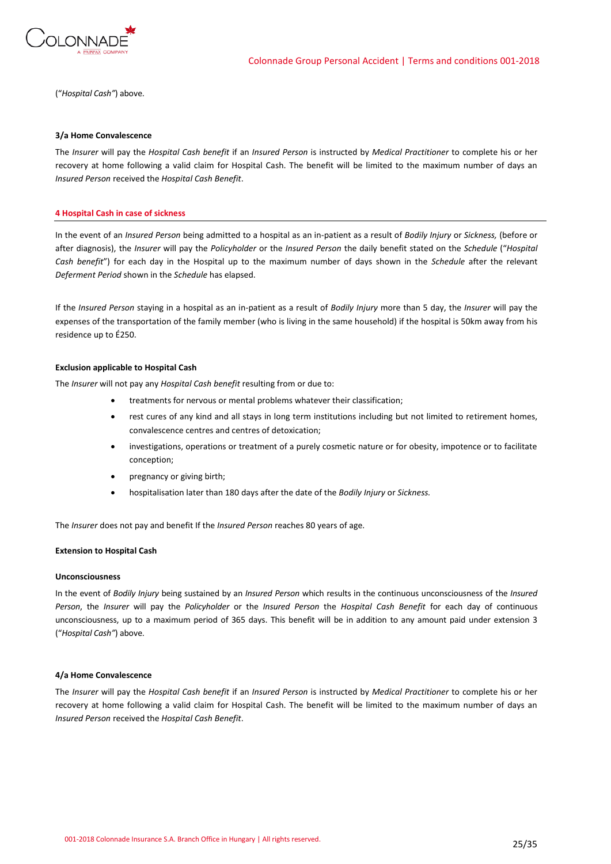

("*Hospital Cash"*) above.

### **3/a Home Convalescence**

The *Insurer* will pay the *Hospital Cash benefit* if an *Insured Person* is instructed by *Medical Practitioner* to complete his or her recovery at home following a valid claim for Hospital Cash. The benefit will be limited to the maximum number of days an *Insured Person* received the *Hospital Cash Benefit*.

### **4 Hospital Cash in case of sickness**

In the event of an *Insured Person* being admitted to a hospital as an in-patient as a result of *Bodily Injury* or *Sickness,* (before or after diagnosis), the *Insurer* will pay the *Policyholder* or the *Insured Person* the daily benefit stated on the *Schedule* ("*Hospital Cash benefit*") for each day in the Hospital up to the maximum number of days shown in the *Schedule* after the relevant *Deferment Period* shown in the *Schedule* has elapsed.

If the *Insured Person* staying in a hospital as an in-patient as a result of *Bodily Injury* more than 5 day, the *Insurer* will pay the expenses of the transportation of the family member (who is living in the same household) if the hospital is 50km away from his residence up to É250.

### **Exclusion applicable to Hospital Cash**

The *Insurer* will not pay any *Hospital Cash benefit* resulting from or due to:

- treatments for nervous or mental problems whatever their classification;
- rest cures of any kind and all stays in long term institutions including but not limited to retirement homes, convalescence centres and centres of detoxication;
- investigations, operations or treatment of a purely cosmetic nature or for obesity, impotence or to facilitate conception;
- pregnancy or giving birth;
- hospitalisation later than 180 days after the date of the *Bodily Injury* or *Sickness.*

The *Insurer* does not pay and benefit If the *Insured Person* reaches 80 years of age.

### **Extension to Hospital Cash**

### **Unconsciousness**

In the event of *Bodily Injury* being sustained by an *Insured Person* which results in the continuous unconsciousness of the *Insured Person*, the *Insurer* will pay the *Policyholder* or the *Insured Person* the *Hospital Cash Benefit* for each day of continuous unconsciousness, up to a maximum period of 365 days. This benefit will be in addition to any amount paid under extension 3 ("*Hospital Cash"*) above.

### **4/a Home Convalescence**

The *Insurer* will pay the *Hospital Cash benefit* if an *Insured Person* is instructed by *Medical Practitioner* to complete his or her recovery at home following a valid claim for Hospital Cash. The benefit will be limited to the maximum number of days an *Insured Person* received the *Hospital Cash Benefit*.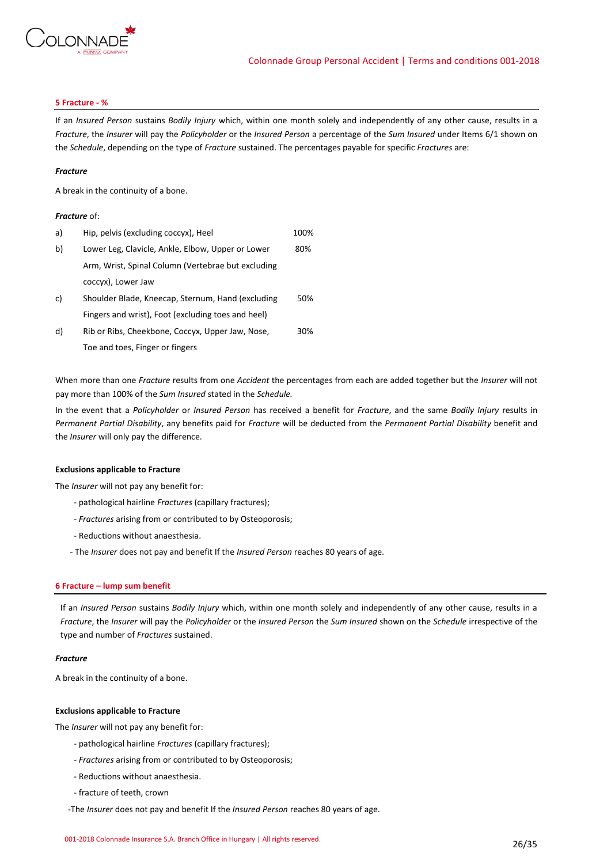

### **5 Fracture - %**

If an *Insured Person* sustains *Bodily Injury* which, within one month solely and independently of any other cause, results in a *Fracture*, the *Insurer* will pay the *Policyholder* or the *Insured Person* a percentage of the *Sum Insured* under Items 6/1 shown on the *Schedule*, depending on the type of *Fracture* sustained. The percentages payable for specific *Fractures* are:

### *Fracture*

A break in the continuity of a bone.

### *Fracture* of:

| a) | Hip, pelvis (excluding coccyx), Heel               | 100% |
|----|----------------------------------------------------|------|
| b) | Lower Leg, Clavicle, Ankle, Elbow, Upper or Lower  | 80%  |
|    | Arm, Wrist, Spinal Column (Vertebrae but excluding |      |
|    | coccyx), Lower Jaw                                 |      |
| c) | Shoulder Blade, Kneecap, Sternum, Hand (excluding  | 50%  |
|    | Fingers and wrist), Foot (excluding toes and heel) |      |
| d) | Rib or Ribs, Cheekbone, Coccyx, Upper Jaw, Nose,   | 30%  |
|    | Toe and toes, Finger or fingers                    |      |

When more than one *Fracture* results from one *Accident* the percentages from each are added together but the *Insurer* will not pay more than 100% of the *Sum Insured* stated in the *Schedule.*

In the event that a *Policyholder* or *Insured Person* has received a benefit for *Fracture*, and the same *Bodily Injury* results in *Permanent Partial Disability*, any benefits paid for *Fracture* will be deducted from the *Permanent Partial Disability* benefit and the *Insurer* will only pay the difference.

### **Exclusions applicable to Fracture**

The *Insurer* will not pay any benefit for:

- pathological hairline *Fractures* (capillary fractures);
- *- Fractures* arising from or contributed to by Osteoporosis;
- Reductions without anaesthesia.
- The *Insurer* does not pay and benefit If the *Insured Person* reaches 80 years of age.

### **6 Fracture – lump sum benefit**

If an *Insured Person* sustains *Bodily Injury* which, within one month solely and independently of any other cause, results in a *Fracture*, the *Insurer* will pay the *Policyholder* or the *Insured Person* the *Sum Insured* shown on the *Schedule* irrespective of the type and number of *Fractures* sustained.

### *Fracture*

A break in the continuity of a bone.

### **Exclusions applicable to Fracture**

The *Insurer* will not pay any benefit for:

- pathological hairline *Fractures* (capillary fractures);
- *- Fractures* arising from or contributed to by Osteoporosis;
- Reductions without anaesthesia.
- fracture of teeth, crown
- -The *Insurer* does not pay and benefit If the *Insured Person* reaches 80 years of age.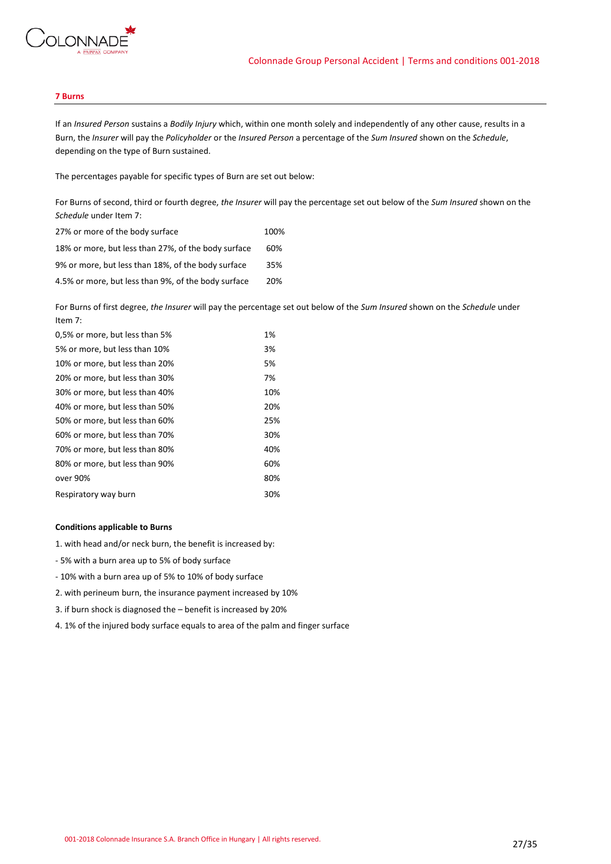

### **7 Burns**

If an *Insured Person* sustains a *Bodily Injury* which, within one month solely and independently of any other cause, results in a Burn, the *Insurer* will pay the *Policyholder* or the *Insured Person* a percentage of the *Sum Insured* shown on the *Schedule*, depending on the type of Burn sustained.

The percentages payable for specific types of Burn are set out below:

For Burns of second, third or fourth degree, *the Insurer* will pay the percentage set out below of the *Sum Insured* shown on the *Schedule* under Item 7:

| 27% or more of the body surface                     | 100% |
|-----------------------------------------------------|------|
| 18% or more, but less than 27%, of the body surface | 60%  |
| 9% or more, but less than 18%, of the body surface  | 35%  |
| 4.5% or more, but less than 9%, of the body surface | 20%  |

For Burns of first degree, *the Insurer* will pay the percentage set out below of the *Sum Insured* shown on the *Schedule* under Item 7:

| 0,5% or more, but less than 5% | 1%  |
|--------------------------------|-----|
| 5% or more, but less than 10%  | 3%  |
| 10% or more, but less than 20% | 5%  |
| 20% or more, but less than 30% | 7%  |
| 30% or more, but less than 40% | 10% |
| 40% or more, but less than 50% | 20% |
| 50% or more, but less than 60% | 25% |
| 60% or more, but less than 70% | 30% |
| 70% or more, but less than 80% | 40% |
| 80% or more, but less than 90% | 60% |
| over 90%                       | 80% |
| Respiratory way burn           | 30% |
|                                |     |

### **Conditions applicable to Burns**

1. with head and/or neck burn, the benefit is increased by:

- 5% with a burn area up to 5% of body surface
- 10% with a burn area up of 5% to 10% of body surface
- 2. with perineum burn, the insurance payment increased by 10%
- 3. if burn shock is diagnosed the benefit is increased by 20%
- 4. 1% of the injured body surface equals to area of the palm and finger surface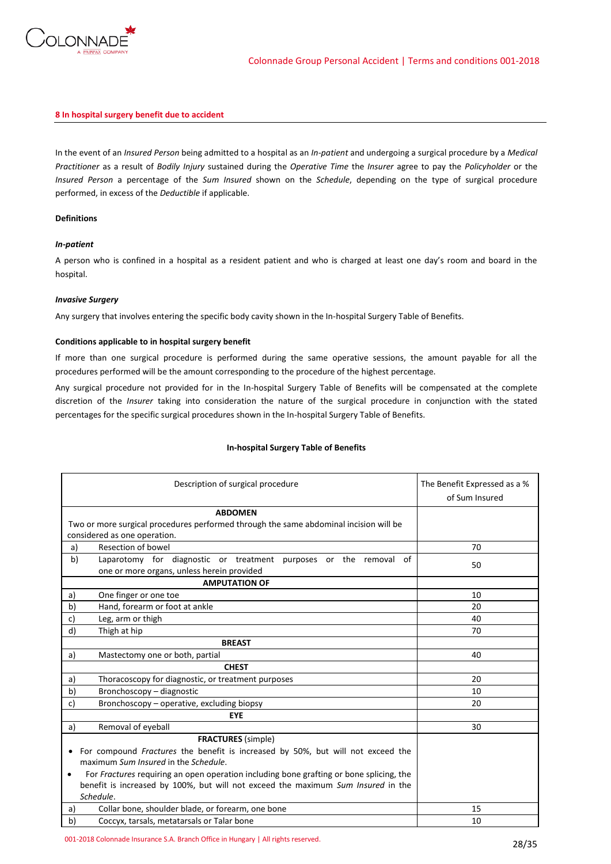

### **8 In hospital surgery benefit due to accident**

In the event of an *Insured Person* being admitted to a hospital as an *In-patient* and undergoing a surgical procedure by a *Medical Practitioner* as a result of *Bodily Injury* sustained during the *Operative Time* the *Insurer* agree to pay the *Policyholder* or the *Insured Person* a percentage of the *Sum Insured* shown on the *Schedule*, depending on the type of surgical procedure performed, in excess of the *Deductible* if applicable.

# **Definitions**

### *In-patient*

A person who is confined in a hospital as a resident patient and who is charged at least one day's room and board in the hospital.

### *Invasive Surgery*

Any surgery that involves entering the specific body cavity shown in the In-hospital Surgery Table of Benefits.

### **Conditions applicable to in hospital surgery benefit**

If more than one surgical procedure is performed during the same operative sessions, the amount payable for all the procedures performed will be the amount corresponding to the procedure of the highest percentage.

Any surgical procedure not provided for in the In-hospital Surgery Table of Benefits will be compensated at the complete discretion of the *Insurer* taking into consideration the nature of the surgical procedure in conjunction with the stated percentages for the specific surgical procedures shown in the In-hospital Surgery Table of Benefits.

| Description of surgical procedure                                                                    | The Benefit Expressed as a %<br>of Sum Insured |
|------------------------------------------------------------------------------------------------------|------------------------------------------------|
| <b>ABDOMEN</b>                                                                                       |                                                |
| Two or more surgical procedures performed through the same abdominal incision will be                |                                                |
| considered as one operation.                                                                         |                                                |
| Resection of bowel<br>a)                                                                             | 70                                             |
| b)<br>Laparotomy for diagnostic or treatment purposes or the removal of                              | 50                                             |
| one or more organs, unless herein provided                                                           |                                                |
| <b>AMPUTATION OF</b>                                                                                 |                                                |
| One finger or one toe<br>a)                                                                          | 10                                             |
| Hand, forearm or foot at ankle<br>b)                                                                 | 20                                             |
| Leg, arm or thigh<br>c)                                                                              | 40                                             |
| d)<br>Thigh at hip                                                                                   | 70                                             |
| <b>BREAST</b>                                                                                        |                                                |
| Mastectomy one or both, partial<br>a)                                                                | 40                                             |
| <b>CHEST</b>                                                                                         |                                                |
| Thoracoscopy for diagnostic, or treatment purposes<br>a)                                             | 20                                             |
| b)<br>Bronchoscopy - diagnostic                                                                      | 10                                             |
| Bronchoscopy - operative, excluding biopsy<br>c)                                                     | 20                                             |
| <b>EYE</b>                                                                                           |                                                |
| Removal of eyeball<br>a)                                                                             | 30                                             |
| <b>FRACTURES</b> (simple)                                                                            |                                                |
| For compound Fractures the benefit is increased by 50%, but will not exceed the<br>$\bullet$         |                                                |
| maximum Sum Insured in the Schedule.                                                                 |                                                |
| For Fractures requiring an open operation including bone grafting or bone splicing, the<br>$\bullet$ |                                                |
| benefit is increased by 100%, but will not exceed the maximum Sum Insured in the                     |                                                |
| Schedule.                                                                                            |                                                |
| Collar bone, shoulder blade, or forearm, one bone<br>a)                                              | 15                                             |
| b)<br>Coccyx, tarsals, metatarsals or Talar bone                                                     | 10                                             |

### **In-hospital Surgery Table of Benefits**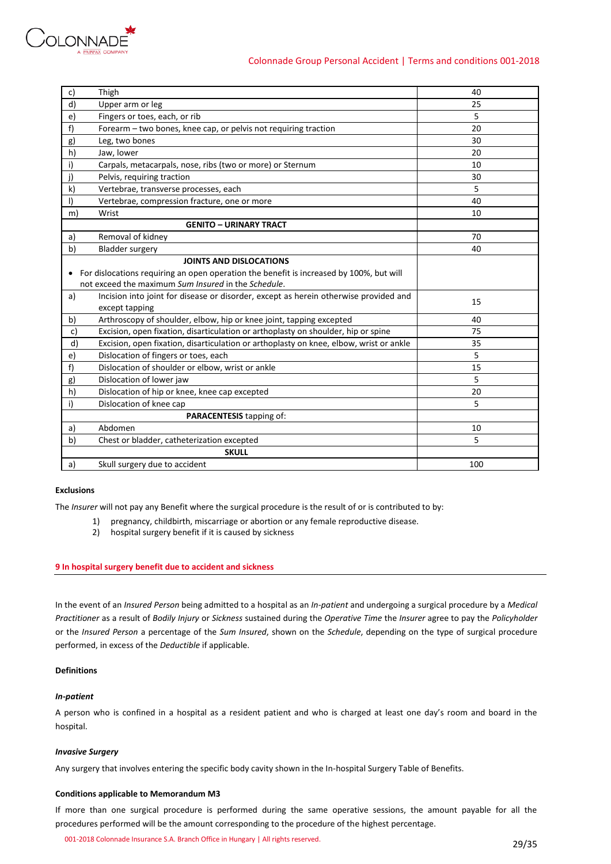

| c)      | Thigh                                                                                   | 40  |
|---------|-----------------------------------------------------------------------------------------|-----|
| d)      | Upper arm or leg                                                                        | 25  |
| e)      | Fingers or toes, each, or rib                                                           | 5   |
| f)      | Forearm – two bones, knee cap, or pelvis not requiring traction                         | 20  |
| g)      | Leg, two bones                                                                          | 30  |
| h)      | Jaw, lower                                                                              | 20  |
| i)      | Carpals, metacarpals, nose, ribs (two or more) or Sternum                               | 10  |
| j)      | Pelvis, requiring traction                                                              | 30  |
| k)      | Vertebrae, transverse processes, each                                                   | 5.  |
| $\vert$ | Vertebrae, compression fracture, one or more                                            | 40  |
| m)      | Wrist                                                                                   | 10  |
|         | <b>GENITO - URINARY TRACT</b>                                                           |     |
| a)      | Removal of kidney                                                                       | 70  |
| b)      | <b>Bladder surgery</b>                                                                  | 40  |
|         | <b>JOINTS AND DISLOCATIONS</b>                                                          |     |
| ٠       | For dislocations requiring an open operation the benefit is increased by 100%, but will |     |
|         | not exceed the maximum Sum Insured in the Schedule.                                     |     |
| a)      | Incision into joint for disease or disorder, except as herein otherwise provided and    | 15  |
|         | except tapping                                                                          |     |
| b)      | Arthroscopy of shoulder, elbow, hip or knee joint, tapping excepted                     | 40  |
| c)      | Excision, open fixation, disarticulation or arthoplasty on shoulder, hip or spine       | 75  |
| d)      | Excision, open fixation, disarticulation or arthoplasty on knee, elbow, wrist or ankle  | 35  |
| e)      | Dislocation of fingers or toes, each                                                    | 5   |
| f)      | Dislocation of shoulder or elbow, wrist or ankle                                        | 15  |
| g)      | Dislocation of lower jaw                                                                | 5   |
| h)      | Dislocation of hip or knee, knee cap excepted                                           | 20  |
| i)      | Dislocation of knee cap                                                                 | 5   |
|         | PARACENTESIS tapping of:                                                                |     |
| a)      | Abdomen                                                                                 | 10  |
| b)      | Chest or bladder, catheterization excepted                                              | 5   |
|         | <b>SKULL</b>                                                                            |     |
| a)      | Skull surgery due to accident                                                           | 100 |
|         |                                                                                         |     |

# **Exclusions**

The *Insurer* will not pay any Benefit where the surgical procedure is the result of or is contributed to by:

- 1) pregnancy, childbirth, miscarriage or abortion or any female reproductive disease.
	- 2) hospital surgery benefit if it is caused by sickness

### **9 In hospital surgery benefit due to accident and sickness**

In the event of an *Insured Person* being admitted to a hospital as an *In-patient* and undergoing a surgical procedure by a *Medical Practitioner* as a result of *Bodily Injury* or *Sickness* sustained during the *Operative Time* the *Insurer* agree to pay the *Policyholder* or the *Insured Person* a percentage of the *Sum Insured*, shown on the *Schedule*, depending on the type of surgical procedure performed, in excess of the *Deductible* if applicable.

### **Definitions**

### *In-patient*

A person who is confined in a hospital as a resident patient and who is charged at least one day's room and board in the hospital.

### *Invasive Surgery*

Any surgery that involves entering the specific body cavity shown in the In-hospital Surgery Table of Benefits.

### **Conditions applicable to Memorandum M3**

If more than one surgical procedure is performed during the same operative sessions, the amount payable for all the procedures performed will be the amount corresponding to the procedure of the highest percentage.

001-2018 Colonnade Insurance S.A. Branch Office in Hungary | All rights reserved. 29/35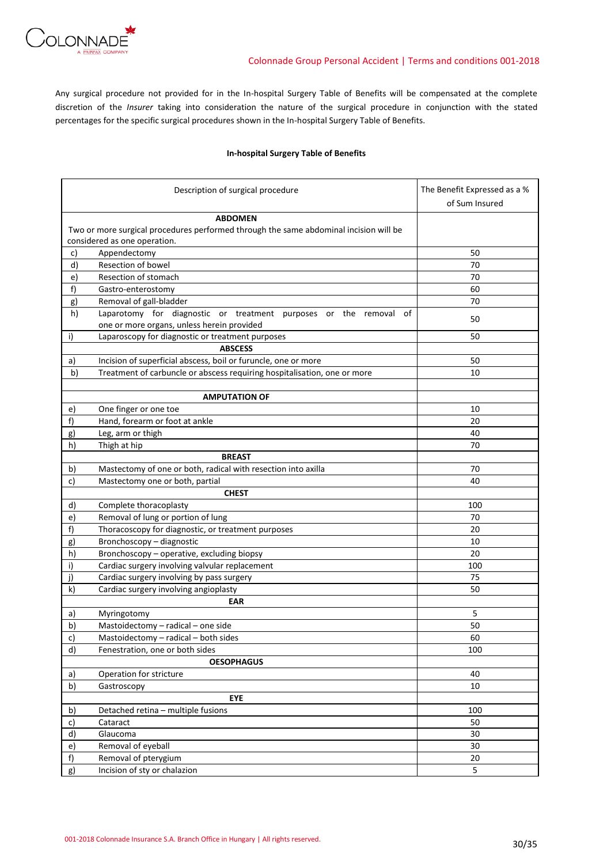

Any surgical procedure not provided for in the In-hospital Surgery Table of Benefits will be compensated at the complete discretion of the *Insurer* taking into consideration the nature of the surgical procedure in conjunction with the stated percentages for the specific surgical procedures shown in the In-hospital Surgery Table of Benefits.

# **In-hospital Surgery Table of Benefits**

|    | Description of surgical procedure                                                     | The Benefit Expressed as a % |
|----|---------------------------------------------------------------------------------------|------------------------------|
|    |                                                                                       | of Sum Insured               |
|    | <b>ABDOMEN</b>                                                                        |                              |
|    | Two or more surgical procedures performed through the same abdominal incision will be |                              |
|    | considered as one operation.                                                          |                              |
| c) | Appendectomy                                                                          | 50                           |
| d) | Resection of bowel                                                                    | 70                           |
| e) | Resection of stomach                                                                  | 70                           |
| f) | Gastro-enterostomy                                                                    | 60                           |
| g) | Removal of gall-bladder                                                               | 70                           |
| h) | Laparotomy for diagnostic or treatment purposes or the removal<br>οf                  | 50                           |
|    | one or more organs, unless herein provided                                            |                              |
| i) | Laparoscopy for diagnostic or treatment purposes                                      | 50                           |
|    | <b>ABSCESS</b>                                                                        |                              |
| a) | Incision of superficial abscess, boil or furuncle, one or more                        | 50                           |
| b) | Treatment of carbuncle or abscess requiring hospitalisation, one or more              | 10                           |
|    |                                                                                       |                              |
|    | <b>AMPUTATION OF</b>                                                                  |                              |
| e) | One finger or one toe                                                                 | 10                           |
| f) | Hand, forearm or foot at ankle                                                        | 20                           |
| g) | Leg, arm or thigh                                                                     | 40                           |
| h) | Thigh at hip                                                                          | 70                           |
|    | <b>BREAST</b>                                                                         |                              |
| b) | Mastectomy of one or both, radical with resection into axilla                         | 70                           |
| c) | Mastectomy one or both, partial                                                       | 40                           |
|    | <b>CHEST</b>                                                                          |                              |
| d) | Complete thoracoplasty                                                                | 100                          |
| e) | Removal of lung or portion of lung                                                    | 70                           |
| f) | Thoracoscopy for diagnostic, or treatment purposes                                    | 20                           |
| g) | Bronchoscopy - diagnostic                                                             | 10                           |
| h) | Bronchoscopy - operative, excluding biopsy                                            | 20                           |
| i) | Cardiac surgery involving valvular replacement                                        | 100                          |
| j) | Cardiac surgery involving by pass surgery                                             | 75                           |
| k) | Cardiac surgery involving angioplasty                                                 | 50                           |
|    | <b>EAR</b>                                                                            |                              |
| a) | Myringotomy                                                                           | 5                            |
| b) | Mastoidectomy - radical - one side                                                    | 50                           |
| c) | Mastoidectomy - radical - both sides                                                  | 60                           |
| d) | Fenestration, one or both sides                                                       | 100                          |
|    | <b>OESOPHAGUS</b>                                                                     |                              |
| a) | Operation for stricture                                                               | 40                           |
| b) | Gastroscopy                                                                           | 10                           |
|    | <b>EYE</b>                                                                            |                              |
| b) | Detached retina - multiple fusions                                                    | 100                          |
| c) | Cataract                                                                              | 50                           |
| d) | Glaucoma                                                                              | 30                           |
| e) | Removal of eyeball                                                                    | 30                           |
| f) | Removal of pterygium                                                                  | 20                           |
|    | Incision of sty or chalazion                                                          | 5                            |
| g) |                                                                                       |                              |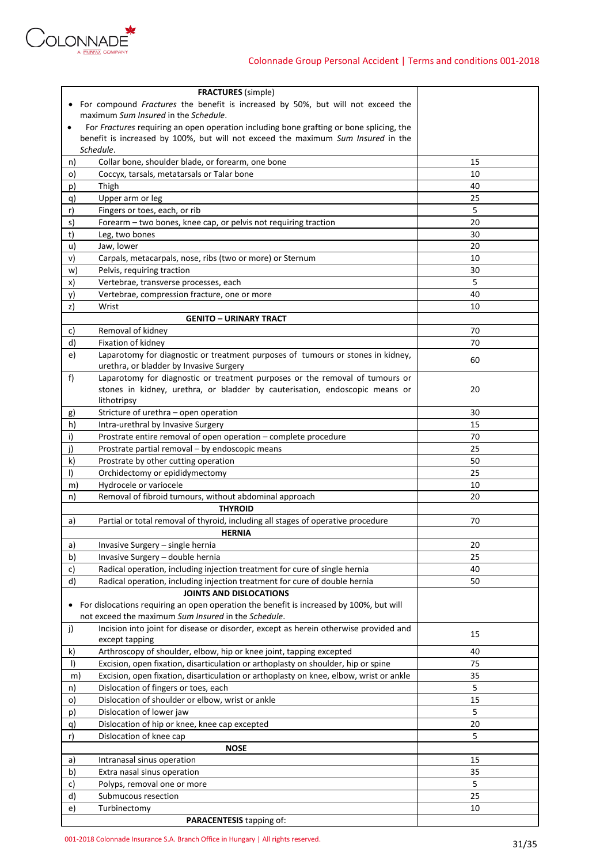

| <b>FRACTURES</b> (simple)                                                                            |         |
|------------------------------------------------------------------------------------------------------|---------|
| For compound Fractures the benefit is increased by 50%, but will not exceed the<br>$\bullet$         |         |
| maximum Sum Insured in the Schedule.                                                                 |         |
| For Fractures requiring an open operation including bone grafting or bone splicing, the<br>$\bullet$ |         |
| benefit is increased by 100%, but will not exceed the maximum Sum Insured in the                     |         |
| Schedule.                                                                                            |         |
| Collar bone, shoulder blade, or forearm, one bone<br>n)                                              | 15      |
| Coccyx, tarsals, metatarsals or Talar bone<br>o)                                                     | 10      |
| p)<br>Thigh                                                                                          | 40      |
| Upper arm or leg<br>q)                                                                               | 25      |
| r)<br>Fingers or toes, each, or rib                                                                  | 5       |
| s)<br>Forearm - two bones, knee cap, or pelvis not requiring traction                                | 20      |
| t)<br>Leg, two bones                                                                                 | 30      |
| u)                                                                                                   | 20      |
| Jaw, lower                                                                                           |         |
| v)<br>Carpals, metacarpals, nose, ribs (two or more) or Sternum                                      | 10      |
| Pelvis, requiring traction<br>w)                                                                     | 30      |
| x)<br>Vertebrae, transverse processes, each                                                          | 5       |
| Vertebrae, compression fracture, one or more<br>y)                                                   | 40      |
| Wrist<br>z)                                                                                          | 10      |
| <b>GENITO - URINARY TRACT</b>                                                                        |         |
| Removal of kidney<br>c)                                                                              | 70      |
| d)<br>Fixation of kidney                                                                             | 70      |
| Laparotomy for diagnostic or treatment purposes of tumours or stones in kidney,<br>e)                | 60      |
| urethra, or bladder by Invasive Surgery                                                              |         |
| f)<br>Laparotomy for diagnostic or treatment purposes or the removal of tumours or                   |         |
| stones in kidney, urethra, or bladder by cauterisation, endoscopic means or                          | 20      |
| lithotripsy                                                                                          |         |
| Stricture of urethra - open operation<br>g)                                                          | 30      |
| h)<br>Intra-urethral by Invasive Surgery                                                             | 15      |
| i)<br>Prostrate entire removal of open operation - complete procedure                                | 70      |
| j)<br>Prostrate partial removal - by endoscopic means                                                | 25      |
| Prostrate by other cutting operation<br>k)                                                           | 50      |
| $\vert$<br>Orchidectomy or epididymectomy                                                            | 25      |
| Hydrocele or variocele<br>m)                                                                         | 10      |
| Removal of fibroid tumours, without abdominal approach<br>n)                                         | 20      |
| <b>THYROID</b>                                                                                       |         |
| Partial or total removal of thyroid, including all stages of operative procedure<br>a)               | 70      |
| <b>HERNIA</b>                                                                                        |         |
| Invasive Surgery - single hernia<br>a)                                                               | 20      |
| b)<br>Invasive Surgery - double hernia                                                               | 25      |
| Radical operation, including injection treatment for cure of single hernia<br>c)                     | 40      |
| Radical operation, including injection treatment for cure of double hernia<br>d)                     | 50      |
| <b>JOINTS AND DISLOCATIONS</b>                                                                       |         |
| For dislocations requiring an open operation the benefit is increased by 100%, but will<br>$\bullet$ |         |
| not exceed the maximum Sum Insured in the Schedule.                                                  |         |
| Incision into joint for disease or disorder, except as herein otherwise provided and<br>j)           |         |
| except tapping                                                                                       | 15      |
| Arthroscopy of shoulder, elbow, hip or knee joint, tapping excepted<br>k)                            | 40      |
| $\vert$<br>Excision, open fixation, disarticulation or arthoplasty on shoulder, hip or spine         | 75      |
|                                                                                                      |         |
| Excision, open fixation, disarticulation or arthoplasty on knee, elbow, wrist or ankle<br>m)         | 35<br>5 |
| Dislocation of fingers or toes, each<br>n)                                                           |         |
| Dislocation of shoulder or elbow, wrist or ankle<br>o)                                               | 15      |
| Dislocation of lower jaw<br>p)                                                                       | 5       |
| q)<br>Dislocation of hip or knee, knee cap excepted                                                  | 20      |
| Dislocation of knee cap<br>r)                                                                        | 5       |
| <b>NOSE</b>                                                                                          |         |
| Intranasal sinus operation<br>a)                                                                     | 15      |
| b)<br>Extra nasal sinus operation                                                                    | 35      |
| c)<br>Polyps, removal one or more                                                                    | 5       |
| d)<br>Submucous resection                                                                            | 25      |
| Turbinectomy<br>e)                                                                                   | 10      |
| PARACENTESIS tapping of:                                                                             |         |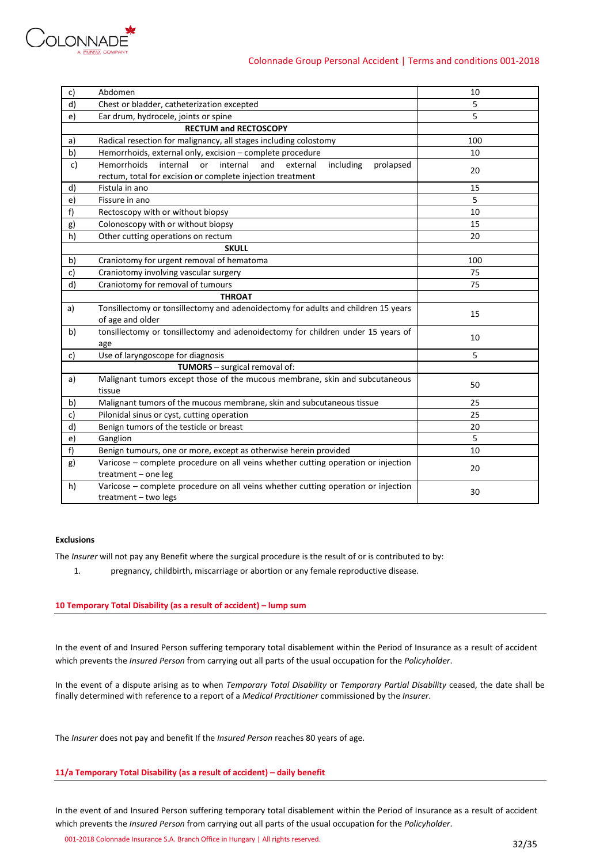

# Colonnade Group Personal Accident | Terms and conditions 001-2018

| c) | Abdomen                                                                                                                                                     | 10  |
|----|-------------------------------------------------------------------------------------------------------------------------------------------------------------|-----|
| d) | Chest or bladder, catheterization excepted                                                                                                                  | 5   |
| e) | Ear drum, hydrocele, joints or spine                                                                                                                        | 5   |
|    | <b>RECTUM and RECTOSCOPY</b>                                                                                                                                |     |
| a) | Radical resection for malignancy, all stages including colostomy                                                                                            | 100 |
| b) | Hemorrhoids, external only, excision - complete procedure                                                                                                   | 10  |
| c) | <b>Hemorrhoids</b><br>internal<br>internal<br>and<br>or<br>external<br>including<br>prolapsed<br>rectum, total for excision or complete injection treatment | 20  |
| d) | Fistula in ano                                                                                                                                              | 15  |
| e) | Fissure in ano                                                                                                                                              | 5   |
| f) | Rectoscopy with or without biopsy                                                                                                                           | 10  |
| g) | Colonoscopy with or without biopsy                                                                                                                          | 15  |
| h) | Other cutting operations on rectum                                                                                                                          | 20  |
|    | <b>SKULL</b>                                                                                                                                                |     |
| b) | Craniotomy for urgent removal of hematoma                                                                                                                   | 100 |
| c) | Craniotomy involving vascular surgery                                                                                                                       | 75  |
| d) | Craniotomy for removal of tumours                                                                                                                           | 75  |
|    | <b>THROAT</b>                                                                                                                                               |     |
| a) | Tonsillectomy or tonsillectomy and adenoidectomy for adults and children 15 years                                                                           | 15  |
|    | of age and older                                                                                                                                            |     |
| b) | tonsillectomy or tonsillectomy and adenoidectomy for children under 15 years of<br>age                                                                      | 10  |
| c) | Use of laryngoscope for diagnosis                                                                                                                           | 5   |
|    | TUMORS - surgical removal of:                                                                                                                               |     |
| a) | Malignant tumors except those of the mucous membrane, skin and subcutaneous<br>tissue                                                                       | 50  |
| b) | Malignant tumors of the mucous membrane, skin and subcutaneous tissue                                                                                       | 25  |
| c) | Pilonidal sinus or cyst, cutting operation                                                                                                                  | 25  |
| d) | Benign tumors of the testicle or breast                                                                                                                     | 20  |
| e) | Ganglion                                                                                                                                                    | 5   |
| f) | Benign tumours, one or more, except as otherwise herein provided                                                                                            | 10  |
| g) | Varicose - complete procedure on all veins whether cutting operation or injection<br>treatment - one leg                                                    | 20  |
| h) | Varicose - complete procedure on all veins whether cutting operation or injection<br>treatment - two legs                                                   | 30  |

# **Exclusions**

The *Insurer* will not pay any Benefit where the surgical procedure is the result of or is contributed to by:

1. pregnancy, childbirth, miscarriage or abortion or any female reproductive disease.

### **10 Temporary Total Disability (as a result of accident) – lump sum**

In the event of and Insured Person suffering temporary total disablement within the Period of Insurance as a result of accident which prevents the *Insured Person* from carrying out all parts of the usual occupation for the *Policyholder*.

In the event of a dispute arising as to when *Temporary Total Disability* or *Temporary Partial Disability* ceased, the date shall be finally determined with reference to a report of a *Medical Practitioner* commissioned by the *Insurer*.

The *Insurer* does not pay and benefit If the *Insured Person* reaches 80 years of age.

### **11/a Temporary Total Disability (as a result of accident) – daily benefit**

In the event of and Insured Person suffering temporary total disablement within the Period of Insurance as a result of accident which prevents the *Insured Person* from carrying out all parts of the usual occupation for the *Policyholder*.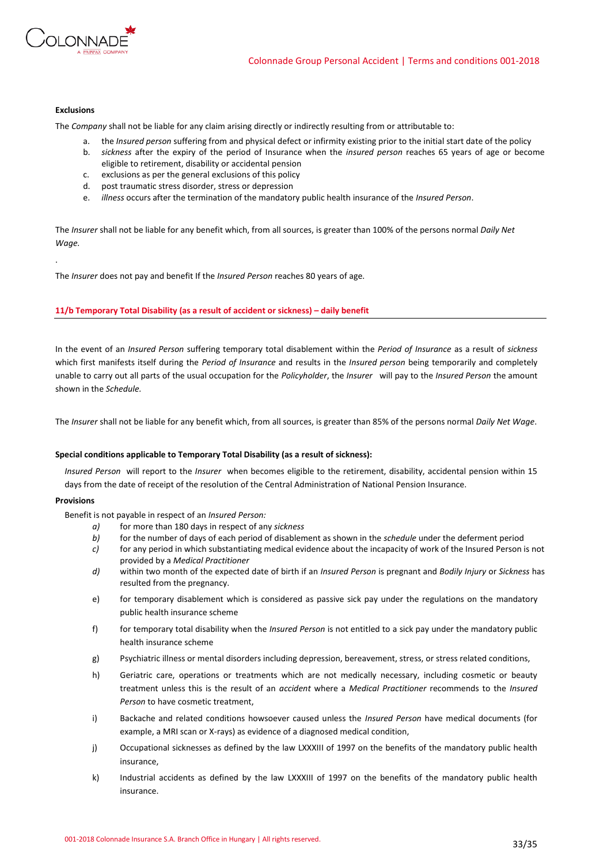

# **Exclusions**

.

The *Company* shall not be liable for any claim arising directly or indirectly resulting from or attributable to:

- a. the *Insured person* suffering from and physical defect or infirmity existing prior to the initial start date of the policy
- b. *sickness* after the expiry of the period of Insurance when the *insured person* reaches 65 years of age or become eligible to retirement, disability or accidental pension
- c. exclusions as per the general exclusions of this policy
- d. post traumatic stress disorder, stress or depression
- e. *illness* occurs after the termination of the mandatory public health insurance of the *Insured Person*.

The *Insurer* shall not be liable for any benefit which, from all sources, is greater than 100% of the persons normal *Daily Net Wage.*

The *Insurer* does not pay and benefit If the *Insured Person* reaches 80 years of age.

### **11/b Temporary Total Disability (as a result of accident or sickness) – daily benefit**

In the event of an *Insured Person* suffering temporary total disablement within the *Period of Insurance* as a result of *sickness* which first manifests itself during the *Period of Insurance* and results in the *Insured person* being temporarily and completely unable to carry out all parts of the usual occupation for the *Policyholder*, the *Insurer* will pay to the *Insured Person* the amount shown in the *Schedule.* 

The *Insurer* shall not be liable for any benefit which, from all sources, is greater than 85% of the persons normal *Daily Net Wage*.

### **Special conditions applicable to Temporary Total Disability (as a result of sickness):**

*Insured Person* will report to the *Insurer* when becomes eligible to the retirement, disability, accidental pension within 15 days from the date of receipt of the resolution of the Central Administration of National Pension Insurance.

### **Provisions**

Benefit is not payable in respect of an *Insured Person:*

- *a)* for more than 180 days in respect of any *sickness*
- *b)* for the number of days of each period of disablement as shown in the *schedule* under the deferment period
- *c)* for any period in which substantiating medical evidence about the incapacity of work of the Insured Person is not provided by a *Medical Practitioner*
- *d)* within two month of the expected date of birth if an *Insured Person* is pregnant and *Bodily Injury* or *Sickness* has resulted from the pregnancy.
- e) for temporary disablement which is considered as passive sick pay under the regulations on the mandatory public health insurance scheme
- f) for temporary total disability when the *Insured Person* is not entitled to a sick pay under the mandatory public health insurance scheme
- g) Psychiatric illness or mental disorders including depression, bereavement, stress, or stress related conditions,
- h) Geriatric care, operations or treatments which are not medically necessary, including cosmetic or beauty treatment unless this is the result of an *accident* where a *Medical Practitioner* recommends to the *Insured Person* to have cosmetic treatment,
- i) Backache and related conditions howsoever caused unless the *Insured Person* have medical documents (for example, a MRI scan or X-rays) as evidence of a diagnosed medical condition,
- j) Occupational sicknesses as defined by the law LXXXIII of 1997 on the benefits of the mandatory public health insurance,
- k) Industrial accidents as defined by the law LXXXIII of 1997 on the benefits of the mandatory public health insurance.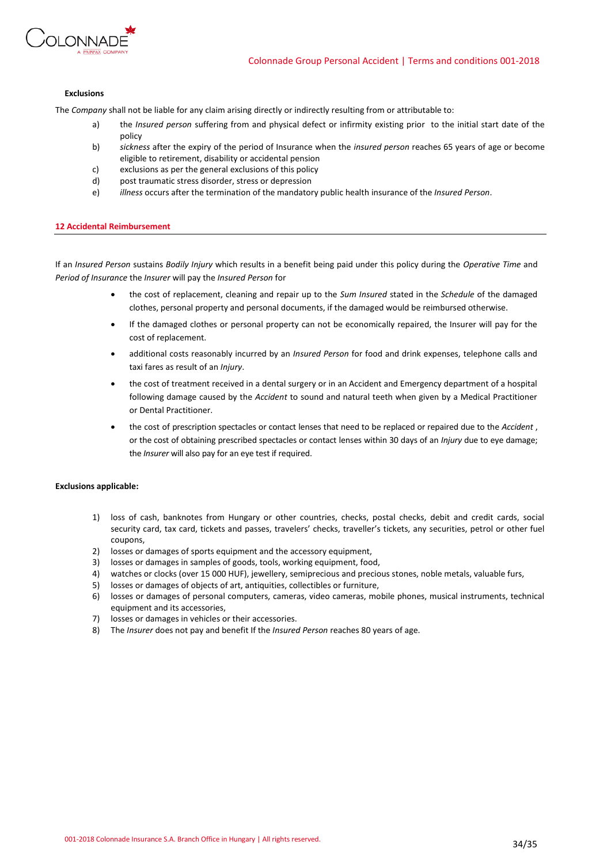

### **Exclusions**

The *Company* shall not be liable for any claim arising directly or indirectly resulting from or attributable to:

- a) the *Insured person* suffering from and physical defect or infirmity existing prior to the initial start date of the policy
- b) *sickness* after the expiry of the period of Insurance when the *insured person* reaches 65 years of age or become eligible to retirement, disability or accidental pension
- c) exclusions as per the general exclusions of this policy
- d) post traumatic stress disorder, stress or depression
- e) *illness* occurs after the termination of the mandatory public health insurance of the *Insured Person*.

### **12 Accidental Reimbursement**

If an *Insured Person* sustains *Bodily Injury* which results in a benefit being paid under this policy during the *Operative Time* and *Period of Insurance* the *Insurer* will pay the *Insured Person* for

- the cost of replacement, cleaning and repair up to the *Sum Insured* stated in the *Schedule* of the damaged clothes, personal property and personal documents, if the damaged would be reimbursed otherwise.
- If the damaged clothes or personal property can not be economically repaired, the Insurer will pay for the cost of replacement.
- additional costs reasonably incurred by an *Insured Person* for food and drink expenses, telephone calls and taxi fares as result of an *Injury*.
- the cost of treatment received in a dental surgery or in an Accident and Emergency department of a hospital following damage caused by the *Accident* to sound and natural teeth when given by a Medical Practitioner or Dental Practitioner.
- the cost of prescription spectacles or contact lenses that need to be replaced or repaired due to the *Accident* , or the cost of obtaining prescribed spectacles or contact lenses within 30 days of an *Injury* due to eye damage; the *Insurer* will also pay for an eye test if required.

### **Exclusions applicable:**

- 1) loss of cash, banknotes from Hungary or other countries, checks, postal checks, debit and credit cards, social security card, tax card, tickets and passes, travelers' checks, traveller's tickets, any securities, petrol or other fuel coupons,
- 2) losses or damages of sports equipment and the accessory equipment,
- 3) losses or damages in samples of goods, tools, working equipment, food,
- 4) watches or clocks (over 15 000 HUF), jewellery, semiprecious and precious stones, noble metals, valuable furs,
- 5) losses or damages of objects of art, antiquities, collectibles or furniture,
- 6) losses or damages of personal computers, cameras, video cameras, mobile phones, musical instruments, technical equipment and its accessories,
- 7) losses or damages in vehicles or their accessories.
- 8) The *Insurer* does not pay and benefit If the *Insured Person* reaches 80 years of age.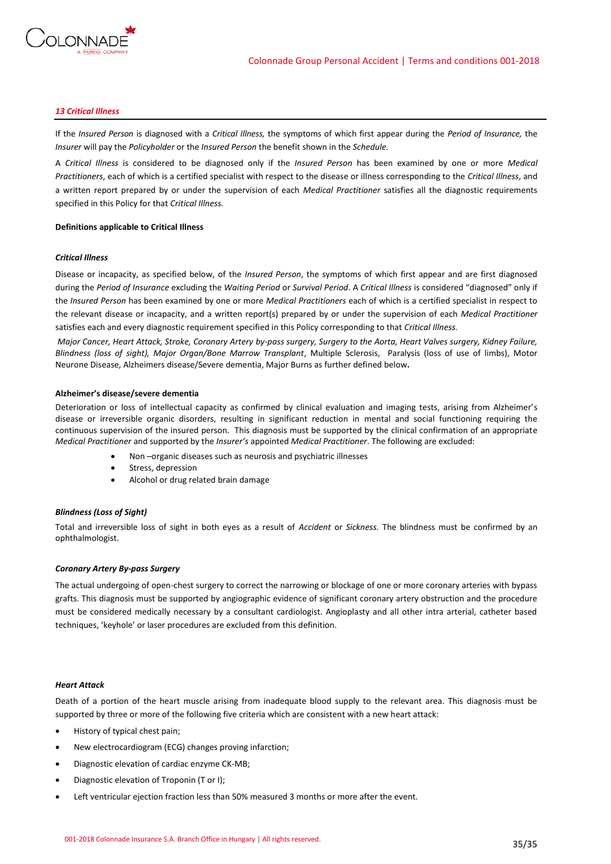

### *13 Critical Illness*

If the *Insured Person* is diagnosed with a *Critical Illness,* the symptoms of which first appear during the *Period of Insurance,* the *Insurer* will pay the *Policyholder* or the *Insured Person* the benefit shown in the *Schedule.*

A *Critical Illness* is considered to be diagnosed only if the *Insured Person* has been examined by one or more *Medical Practitioners*, each of which is a certified specialist with respect to the disease or illness corresponding to the *Critical Illness*, and a written report prepared by or under the supervision of each *Medical Practitioner* satisfies all the diagnostic requirements specified in this Policy for that *Critical Illness.*

### **Definitions applicable to Critical Illness**

#### *Critical Illness*

Disease or incapacity, as specified below, of the *Insured Person*, the symptoms of which first appear and are first diagnosed during the *Period of Insurance* excluding the *Waiting Period* or *Survival Period*. A *Critical Illness* is considered "diagnosed" only if the *Insured Person* has been examined by one or more *Medical Practitioners* each of which is a certified specialist in respect to the relevant disease or incapacity, and a written report(s) prepared by or under the supervision of each *Medical Practitioner* satisfies each and every diagnostic requirement specified in this Policy corresponding to that *Critical Illness.*

*Major Cancer, Heart Attack, Stroke, Coronary Artery by-pass surgery, Surgery to the Aorta, Heart Valves surgery, Kidney Failure, Blindness (loss of sight), Major Organ/Bone Marrow Transplant*, Multiple Sclerosis, Paralysis (loss of use of limbs), Motor Neurone Disease, Alzheimers disease/Severe dementia, Major Burns as further defined below**.**

#### **Alzheimer's disease/severe dementia**

Deterioration or loss of intellectual capacity as confirmed by clinical evaluation and imaging tests, arising from Alzheimer's disease or irreversible organic disorders, resulting in significant reduction in mental and social functioning requiring the continuous supervision of the insured person. This diagnosis must be supported by the clinical confirmation of an appropriate *Medical Practitioner* and supported by the *Insurer's* appointed *Medical Practitioner*. The following are excluded:

- Non-organic diseases such as neurosis and psychiatric illnesses
- Stress, depression
- Alcohol or drug related brain damage

### *Blindness (Loss of Sight)*

Total and irreversible loss of sight in both eyes as a result of *Accident* or *Sickness.* The blindness must be confirmed by an ophthalmologist.

### *Coronary Artery By-pass Surgery*

The actual undergoing of open-chest surgery to correct the narrowing or blockage of one or more coronary arteries with bypass grafts. This diagnosis must be supported by angiographic evidence of significant coronary artery obstruction and the procedure must be considered medically necessary by a consultant cardiologist. Angioplasty and all other intra arterial, catheter based techniques, 'keyhole' or laser procedures are excluded from this definition.

#### *Heart Attack*

Death of a portion of the heart muscle arising from inadequate blood supply to the relevant area. This diagnosis must be supported by three or more of the following five criteria which are consistent with a new heart attack:

- History of typical chest pain;
- New electrocardiogram (ECG) changes proving infarction;
- Diagnostic elevation of cardiac enzyme CK-MB;
- Diagnostic elevation of Troponin (T or I);
- Left ventricular ejection fraction less than 50% measured 3 months or more after the event.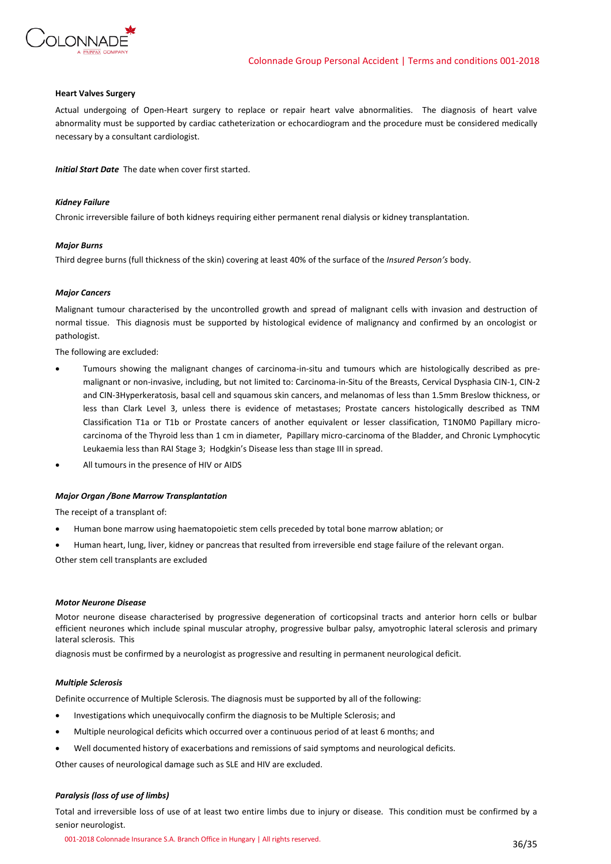

### **Heart Valves Surgery**

Actual undergoing of Open-Heart surgery to replace or repair heart valve abnormalities. The diagnosis of heart valve abnormality must be supported by cardiac catheterization or echocardiogram and the procedure must be considered medically necessary by a consultant cardiologist.

*Initial Start Date* The date when cover first started.

### *Kidney Failure*

Chronic irreversible failure of both kidneys requiring either permanent renal dialysis or kidney transplantation.

### *Major Burns*

Third degree burns (full thickness of the skin) covering at least 40% of the surface of the *Insured Person's* body.

### *Major Cancers*

Malignant tumour characterised by the uncontrolled growth and spread of malignant cells with invasion and destruction of normal tissue. This diagnosis must be supported by histological evidence of malignancy and confirmed by an oncologist or pathologist.

The following are excluded:

- Tumours showing the malignant changes of carcinoma-in-situ and tumours which are histologically described as premalignant or non-invasive, including, but not limited to: Carcinoma-in-Situ of the Breasts, Cervical Dysphasia CIN-1, CIN-2 and CIN-3Hyperkeratosis, basal cell and squamous skin cancers, and melanomas of less than 1.5mm Breslow thickness, or less than Clark Level 3, unless there is evidence of metastases; Prostate cancers histologically described as TNM Classification T1a or T1b or Prostate cancers of another equivalent or lesser classification, T1N0M0 Papillary microcarcinoma of the Thyroid less than 1 cm in diameter, Papillary micro-carcinoma of the Bladder, and Chronic Lymphocytic Leukaemia less than RAI Stage 3; Hodgkin's Disease less than stage III in spread.
- All tumours in the presence of HIV or AIDS

### *Major Organ /Bone Marrow Transplantation*

The receipt of a transplant of:

- Human bone marrow using haematopoietic stem cells preceded by total bone marrow ablation; or
- Human heart, lung, liver, kidney or pancreas that resulted from irreversible end stage failure of the relevant organ.

Other stem cell transplants are excluded

### *Motor Neurone Disease*

Motor neurone disease characterised by progressive degeneration of corticopsinal tracts and anterior horn cells or bulbar efficient neurones which include spinal muscular atrophy, progressive bulbar palsy, amyotrophic lateral sclerosis and primary lateral sclerosis. This

diagnosis must be confirmed by a neurologist as progressive and resulting in permanent neurological deficit.

### *Multiple Sclerosis*

Definite occurrence of Multiple Sclerosis. The diagnosis must be supported by all of the following:

- Investigations which unequivocally confirm the diagnosis to be Multiple Sclerosis; and
- Multiple neurological deficits which occurred over a continuous period of at least 6 months; and
- Well documented history of exacerbations and remissions of said symptoms and neurological deficits.

Other causes of neurological damage such as SLE and HIV are excluded.

### *Paralysis (loss of use of limbs)*

Total and irreversible loss of use of at least two entire limbs due to injury or disease. This condition must be confirmed by a senior neurologist.

001-2018 Colonnade Insurance S.A. Branch Office in Hungary | All rights reserved. 36/35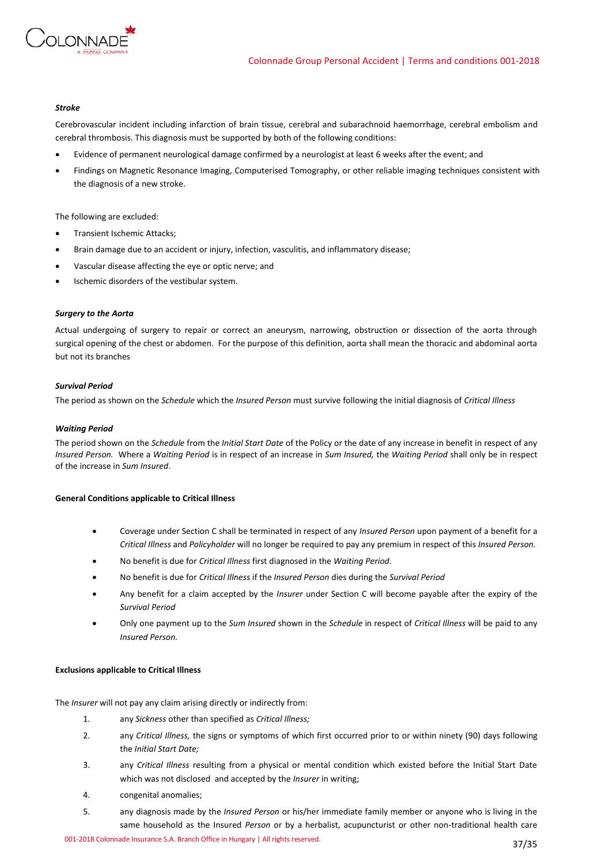

### *Stroke*

Cerebrovascular incident including infarction of brain tissue, cerebral and subarachnoid haemorrhage, cerebral embolism and cerebral thrombosis. This diagnosis must be supported by both of the following conditions:

- Evidence of permanent neurological damage confirmed by a neurologist at least 6 weeks after the event; and
- Findings on Magnetic Resonance Imaging, Computerised Tomography, or other reliable imaging techniques consistent with the diagnosis of a new stroke.

The following are excluded:

- Transient Ischemic Attacks;
- Brain damage due to an accident or injury, infection, vasculitis, and inflammatory disease;
- Vascular disease affecting the eye or optic nerve; and
- Ischemic disorders of the vestibular system.

### *Surgery to the Aorta*

Actual undergoing of surgery to repair or correct an aneurysm, narrowing, obstruction or dissection of the aorta through surgical opening of the chest or abdomen. For the purpose of this definition, aorta shall mean the thoracic and abdominal aorta but not its branches

### *Survival Period*

The period as shown on the *Schedule* which the *Insured Person* must survive following the initial diagnosis of *Critical Illness*

### *Waiting Period*

The period shown on the *Schedule* from the *Initial Start Date* of the Policy or the date of any increase in benefit in respect of any *Insured Person.* Where a *Waiting Period* is in respect of an increase in *Sum Insured,* the *Waiting Period* shall only be in respect of the increase in *Sum Insured*.

### **General Conditions applicable to Critical Illness**

- Coverage under Section C shall be terminated in respect of any *Insured Person* upon payment of a benefit for a *Critical Illness* and *Policyholder* will no longer be required to pay any premium in respect of this *Insured Person.*
- No benefit is due for *Critical Illness* first diagnosed in the *Waiting Period*.
- No benefit is due for *Critical Illness* if the *Insured Person* dies during the *Survival Period*
- Any benefit for a claim accepted by the *Insurer* under Section C will become payable after the expiry of the *Survival Period*
- Only one payment up to the *Sum Insured* shown in the *Schedule* in respect of *Critical Illness* will be paid to any *Insured Person.*

### **Exclusions applicable to Critical Illness**

The *Insurer* will not pay any claim arising directly or indirectly from:

- 1. any *Sickness* other than specified as *Critical Illness;*
- 2. any *Critical Illness,* the signs or symptoms of which first occurred prior to or within ninety (90) days following the *Initial Start Date;*
- 3. any *Critical Illness* resulting from a physical or mental condition which existed before the Initial Start Date which was not disclosed and accepted by the *Insurer* in writing;
- 4. congenital anomalies;
- 5. any diagnosis made by the *Insured Person* or his/her immediate family member or anyone who is living in the same household as the Insured *Person* or by a herbalist, acupuncturist or other non-traditional health care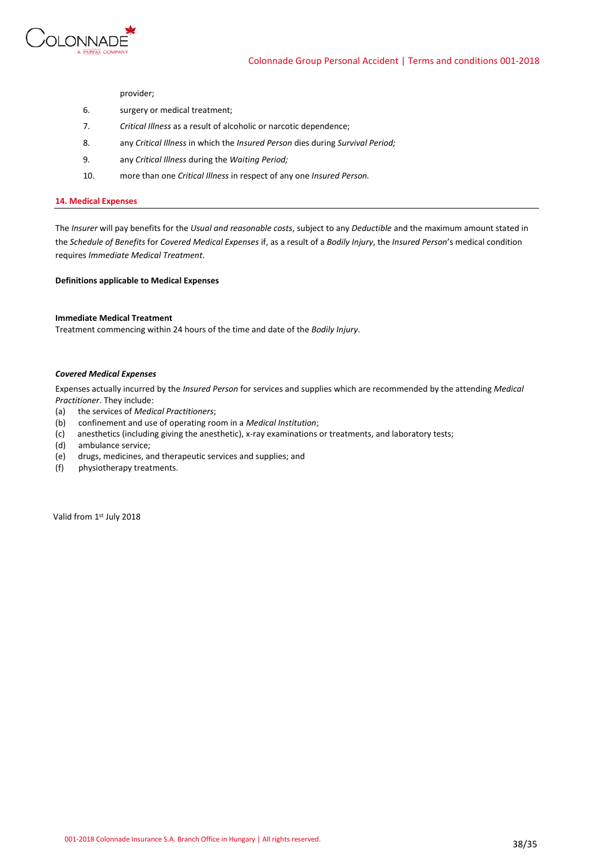

provider;

- 6. surgery or medical treatment;
- 7. *Critical Illness* as a result of alcoholic or narcotic dependence;
- 8. any *Critical Illness* in which the *Insured Person* dies during *Survival Period;*
- 9. any *Critical Illness* during the *Waiting Period;*
- 10. more than one *Critical Illness* in respect of any one *Insured Person.*

### **14. Medical Expenses**

The *Insurer* will pay benefits for the *Usual and reasonable costs*, subject to any *Deductible* and the maximum amount stated in the *Schedule of Benefits* for *Covered Medical Expenses* if, as a result of a *Bodily Injury*, the *Insured Person*'s medical condition requires *Immediate Medical Treatment*.

**Definitions applicable to Medical Expenses**

### **Immediate Medical Treatment**

Treatment commencing within 24 hours of the time and date of the *Bodily Injury*.

#### *Covered Medical Expenses*

Expenses actually incurred by the *Insured Person* for services and supplies which are recommended by the attending *Medical Practitioner*. They include:

- (a) the services of *Medical Practitioners*;
- (b) confinement and use of operating room in a *Medical Institution*;
- (c) anesthetics (including giving the anesthetic), x-ray examinations or treatments, and laboratory tests;
- (d) ambulance service;
- (e) drugs, medicines, and therapeutic services and supplies; and
- (f) physiotherapy treatments.

Valid from 1st July 2018